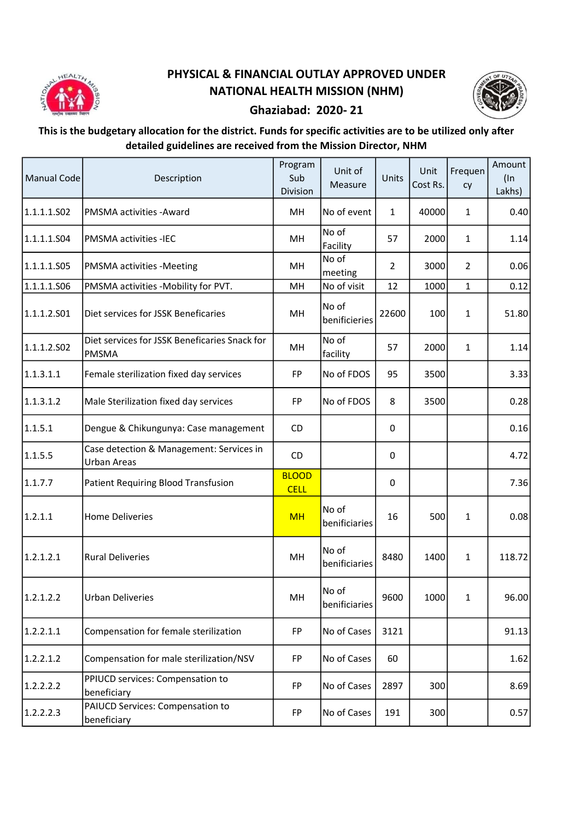

## PHYSICAL & FINANCIAL OUTLAY APPROVED UNDER NATIONAL HEALTH MISSION (NHM)



## Ghaziabad: 2020- 21

## This is the budgetary allocation for the district. Funds for specific activities are to be utilized only after detailed guidelines are received from the Mission Director, NHM

| Manual Code | Description                                                    | Program<br>Sub<br>Division  | Unit of<br>Measure     | Units          | Unit<br>Cost Rs. | Frequen<br>cy  | Amount<br>$($ ln<br>Lakhs) |
|-------------|----------------------------------------------------------------|-----------------------------|------------------------|----------------|------------------|----------------|----------------------------|
| 1.1.1.1.502 | <b>PMSMA</b> activities - Award                                | MH                          | No of event            | $\mathbf{1}$   | 40000            | $\mathbf{1}$   | 0.40                       |
| 1.1.1.1.S04 | <b>PMSMA activities -IEC</b>                                   | MH                          | No of<br>Facility      | 57             | 2000             | $\mathbf{1}$   | 1.14                       |
| 1.1.1.1.505 | <b>PMSMA activities -Meeting</b>                               | MH                          | No of<br>meeting       | $\overline{2}$ | 3000             | $\overline{2}$ | 0.06                       |
| 1.1.1.1.506 | PMSMA activities -Mobility for PVT.                            | MH                          | No of visit            | 12             | 1000             | $\mathbf{1}$   | 0.12                       |
| 1.1.1.2.501 | Diet services for JSSK Beneficaries                            | MH                          | No of<br>benificieries | 22600          | 100              | $\mathbf{1}$   | 51.80                      |
| 1.1.1.2.502 | Diet services for JSSK Beneficaries Snack for<br><b>PMSMA</b>  | MH                          | No of<br>facility      | 57             | 2000             | $\mathbf{1}$   | 1.14                       |
| 1.1.3.1.1   | Female sterilization fixed day services                        | FP                          | No of FDOS             | 95             | 3500             |                | 3.33                       |
| 1.1.3.1.2   | Male Sterilization fixed day services                          | FP                          | No of FDOS             | 8              | 3500             |                | 0.28                       |
| 1.1.5.1     | Dengue & Chikungunya: Case management                          | CD.                         |                        | 0              |                  |                | 0.16                       |
| 1.1.5.5     | Case detection & Management: Services in<br><b>Urban Areas</b> | CD                          |                        | 0              |                  |                | 4.72                       |
| 1.1.7.7     | Patient Requiring Blood Transfusion                            | <b>BLOOD</b><br><b>CELL</b> |                        | 0              |                  |                | 7.36                       |
| 1.2.1.1     | <b>Home Deliveries</b>                                         | <b>MH</b>                   | No of<br>benificiaries | 16             | 500              | $\mathbf{1}$   | 0.08                       |
| 1.2.1.2.1   | <b>Rural Deliveries</b>                                        | MH                          | No of<br>benificiaries | 8480           | 1400             | $\mathbf{1}$   | 118.72                     |
| 1.2.1.2.2   | <b>Urban Deliveries</b>                                        | MH                          | No of<br>benificiaries | 9600           | 1000             | $\mathbf{1}$   | 96.00                      |
| 1.2.2.1.1   | Compensation for female sterilization                          | FP                          | No of Cases            | 3121           |                  |                | 91.13                      |
| 1.2.2.1.2   | Compensation for male sterilization/NSV                        | FP                          | No of Cases            | 60             |                  |                | 1.62                       |
| 1.2.2.2.2   | PPIUCD services: Compensation to<br>beneficiary                | FP                          | No of Cases            | 2897           | 300              |                | 8.69                       |
| 1.2.2.2.3   | PAIUCD Services: Compensation to<br>beneficiary                | FP                          | No of Cases            | 191            | 300              |                | 0.57                       |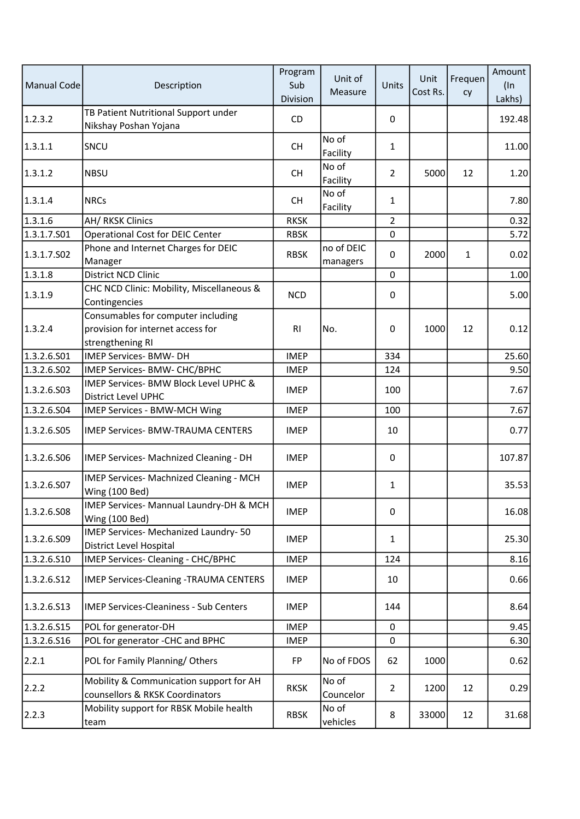| <b>Manual Code</b> | Description                                                                                 | Program<br>Sub<br>Division | Unit of<br>Measure     | Units          | Unit<br>Cost Rs. | Frequen<br>cy | Amount<br>$($ In<br>Lakhs) |
|--------------------|---------------------------------------------------------------------------------------------|----------------------------|------------------------|----------------|------------------|---------------|----------------------------|
| 1.2.3.2            | TB Patient Nutritional Support under<br>Nikshay Poshan Yojana                               | CD                         |                        | 0              |                  |               | 192.48                     |
| 1.3.1.1            | SNCU                                                                                        | <b>CH</b>                  | No of<br>Facility      | 1              |                  |               | 11.00                      |
| 1.3.1.2            | <b>NBSU</b>                                                                                 | <b>CH</b>                  | No of<br>Facility      | $\overline{2}$ | 5000             | 12            | 1.20                       |
| 1.3.1.4            | <b>NRCs</b>                                                                                 | <b>CH</b>                  | No of<br>Facility      | 1              |                  |               | 7.80                       |
| 1.3.1.6            | AH/RKSK Clinics                                                                             | <b>RKSK</b>                |                        | $\overline{2}$ |                  |               | 0.32                       |
| 1.3.1.7.501        | <b>Operational Cost for DEIC Center</b>                                                     | <b>RBSK</b>                |                        | $\pmb{0}$      |                  |               | 5.72                       |
| 1.3.1.7.502        | Phone and Internet Charges for DEIC<br>Manager                                              | <b>RBSK</b>                | no of DEIC<br>managers | 0              | 2000             | 1             | 0.02                       |
| 1.3.1.8            | District NCD Clinic                                                                         |                            |                        | $\pmb{0}$      |                  |               | 1.00                       |
| 1.3.1.9            | CHC NCD Clinic: Mobility, Miscellaneous &<br>Contingencies                                  | <b>NCD</b>                 |                        | 0              |                  |               | 5.00                       |
| 1.3.2.4            | Consumables for computer including<br>provision for internet access for<br>strengthening RI | R <sub>l</sub>             | No.                    | 0              | 1000             | 12            | 0.12                       |
| 1.3.2.6.S01        | <b>IMEP Services- BMW- DH</b>                                                               | <b>IMEP</b>                |                        | 334            |                  |               | 25.60                      |
| 1.3.2.6.S02        | IMEP Services- BMW- CHC/BPHC                                                                | <b>IMEP</b>                |                        | 124            |                  |               | 9.50                       |
| 1.3.2.6.503        | IMEP Services- BMW Block Level UPHC &<br>District Level UPHC                                | <b>IMEP</b>                |                        | 100            |                  |               | 7.67                       |
| 1.3.2.6.504        | IMEP Services - BMW-MCH Wing                                                                | <b>IMEP</b>                |                        | 100            |                  |               | 7.67                       |
| 1.3.2.6.S05        | <b>IMEP Services- BMW-TRAUMA CENTERS</b>                                                    | <b>IMEP</b>                |                        | 10             |                  |               | 0.77                       |
| 1.3.2.6.506        | IMEP Services- Machnized Cleaning - DH                                                      | <b>IMEP</b>                |                        | 0              |                  |               | 107.87                     |
| 1.3.2.6.507        | IMEP Services- Machnized Cleaning - MCH<br>Wing (100 Bed)                                   | <b>IMEP</b>                |                        | 1              |                  |               | 35.53                      |
| 1.3.2.6.508        | IMEP Services- Mannual Laundry-DH & MCH<br>Wing (100 Bed)                                   | <b>IMEP</b>                |                        | $\mathbf 0$    |                  |               | 16.08                      |
| 1.3.2.6.509        | IMEP Services- Mechanized Laundry- 50<br>District Level Hospital                            | <b>IMEP</b>                |                        | 1              |                  |               | 25.30                      |
| 1.3.2.6.S10        | IMEP Services- Cleaning - CHC/BPHC                                                          | <b>IMEP</b>                |                        | 124            |                  |               | 8.16                       |
| 1.3.2.6.512        | <b>IMEP Services-Cleaning -TRAUMA CENTERS</b>                                               | <b>IMEP</b>                |                        | 10             |                  |               | 0.66                       |
| 1.3.2.6.513        | <b>IMEP Services-Cleaniness - Sub Centers</b>                                               | <b>IMEP</b>                |                        | 144            |                  |               | 8.64                       |
| 1.3.2.6.S15        | POL for generator-DH                                                                        | <b>IMEP</b>                |                        | 0              |                  |               | 9.45                       |
| 1.3.2.6.516        | POL for generator - CHC and BPHC                                                            | <b>IMEP</b>                |                        | $\pmb{0}$      |                  |               | 6.30                       |
| 2.2.1              | POL for Family Planning/Others                                                              | <b>FP</b>                  | No of FDOS             | 62             | 1000             |               | 0.62                       |
| 2.2.2              | Mobility & Communication support for AH<br>counsellors & RKSK Coordinators                  | <b>RKSK</b>                | No of<br>Councelor     | $\overline{2}$ | 1200             | 12            | 0.29                       |
| 2.2.3              | Mobility support for RBSK Mobile health<br>team                                             | <b>RBSK</b>                | No of<br>vehicles      | 8              | 33000            | 12            | 31.68                      |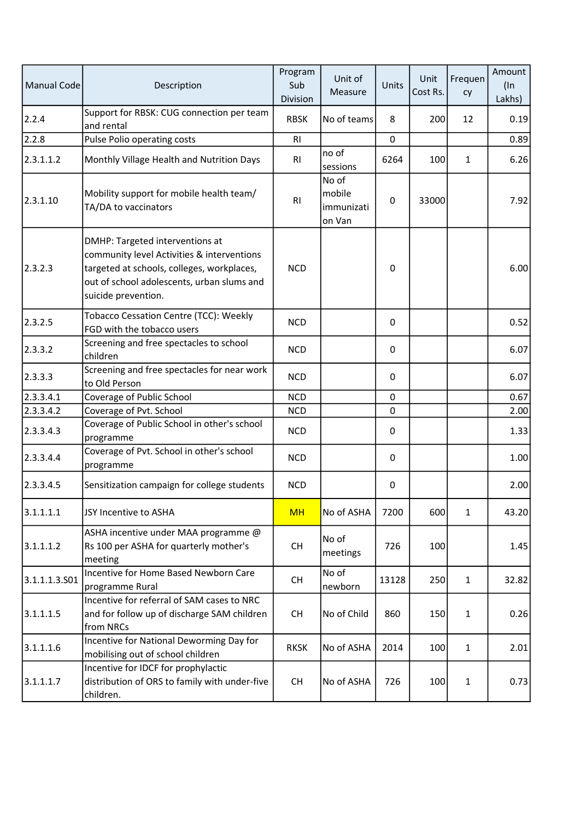| Manual Code   | Description                                                                                                                                                                                      | Program<br>Sub<br>Division | Unit of<br>Measure                      | Units       | Unit<br>Cost Rs. | Frequen<br>cy | Amount<br>$($ In<br>Lakhs) |
|---------------|--------------------------------------------------------------------------------------------------------------------------------------------------------------------------------------------------|----------------------------|-----------------------------------------|-------------|------------------|---------------|----------------------------|
| 2.2.4         | Support for RBSK: CUG connection per team<br>and rental                                                                                                                                          | <b>RBSK</b>                | No of teams                             | 8           | 200              | 12            | 0.19                       |
| 2.2.8         | Pulse Polio operating costs                                                                                                                                                                      | R <sub>1</sub>             |                                         | 0           |                  |               | 0.89                       |
| 2.3.1.1.2     | Monthly Village Health and Nutrition Days                                                                                                                                                        | R <sub>1</sub>             | no of<br>sessions                       | 6264        | 100              | 1             | 6.26                       |
| 2.3.1.10      | Mobility support for mobile health team/<br>TA/DA to vaccinators                                                                                                                                 | R <sub>1</sub>             | No of<br>mobile<br>immunizati<br>on Van | $\mathbf 0$ | 33000            |               | 7.92                       |
| 2.3.2.3       | DMHP: Targeted interventions at<br>community level Activities & interventions<br>targeted at schools, colleges, workplaces,<br>out of school adolescents, urban slums and<br>suicide prevention. | <b>NCD</b>                 |                                         | 0           |                  |               | 6.00                       |
| 2.3.2.5       | Tobacco Cessation Centre (TCC): Weekly<br>FGD with the tobacco users                                                                                                                             | <b>NCD</b>                 |                                         | 0           |                  |               | 0.52                       |
| 2.3.3.2       | Screening and free spectacles to school<br>children                                                                                                                                              | <b>NCD</b>                 |                                         | 0           |                  |               | 6.07                       |
| 2.3.3.3       | Screening and free spectacles for near work<br>to Old Person                                                                                                                                     | <b>NCD</b>                 |                                         | $\mathbf 0$ |                  |               | 6.07                       |
| 2.3.3.4.1     | Coverage of Public School                                                                                                                                                                        | <b>NCD</b>                 |                                         | $\mathbf 0$ |                  |               | 0.67                       |
| 2.3.3.4.2     | Coverage of Pvt. School                                                                                                                                                                          | <b>NCD</b>                 |                                         | $\mathbf 0$ |                  |               | 2.00                       |
| 2.3.3.4.3     | Coverage of Public School in other's school<br>programme                                                                                                                                         | <b>NCD</b>                 |                                         | 0           |                  |               | 1.33                       |
| 2.3.3.4.4     | Coverage of Pvt. School in other's school<br>programme                                                                                                                                           | <b>NCD</b>                 |                                         | 0           |                  |               | 1.00                       |
| 2.3.3.4.5     | Sensitization campaign for college students                                                                                                                                                      | <b>NCD</b>                 |                                         | 0           |                  |               | 2.00                       |
| 3.1.1.1.1     | JSY Incentive to ASHA                                                                                                                                                                            | <b>MH</b>                  | No of ASHA                              | 7200        | 600              | $\mathbf{1}$  | 43.20                      |
| 3.1.1.1.2     | ASHA incentive under MAA programme @<br>Rs 100 per ASHA for quarterly mother's<br>meeting                                                                                                        | <b>CH</b>                  | No of<br>meetings                       | 726         | 100              |               | 1.45                       |
| 3.1.1.1.3.501 | Incentive for Home Based Newborn Care<br>programme Rural                                                                                                                                         | <b>CH</b>                  | No of<br>newborn                        | 13128       | 250              | $\mathbf{1}$  | 32.82                      |
| 3.1.1.1.5     | Incentive for referral of SAM cases to NRC<br>and for follow up of discharge SAM children<br>from NRCs                                                                                           | <b>CH</b>                  | No of Child                             | 860         | 150              | $\mathbf{1}$  | 0.26                       |
| 3.1.1.1.6     | Incentive for National Deworming Day for<br>mobilising out of school children                                                                                                                    | <b>RKSK</b>                | No of ASHA                              | 2014        | 100              | $\mathbf{1}$  | 2.01                       |
| 3.1.1.1.7     | Incentive for IDCF for prophylactic<br>distribution of ORS to family with under-five<br>children.                                                                                                | <b>CH</b>                  | No of ASHA                              | 726         | 100              | $\mathbf{1}$  | 0.73                       |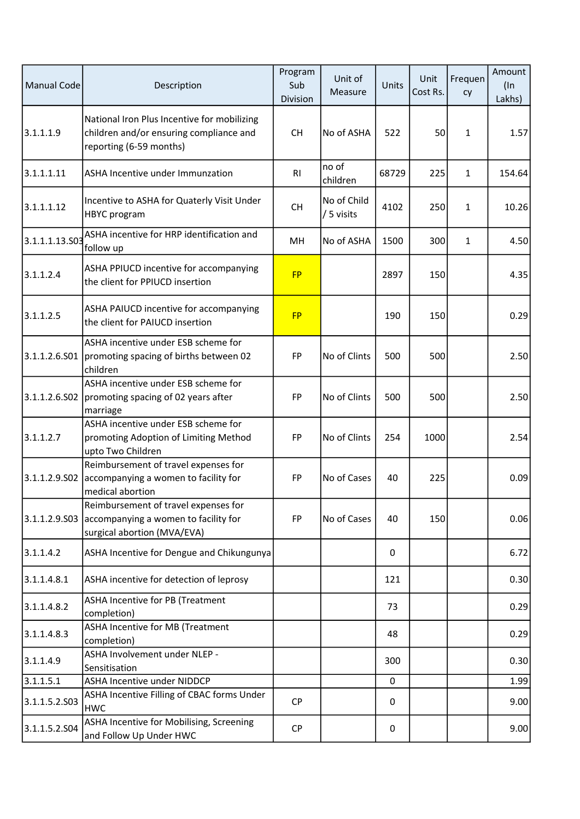| <b>Manual Code</b> | Description                                                                                                       | Program<br>Sub<br>Division | Unit of<br>Measure        | <b>Units</b> | Unit<br>Cost Rs. | Frequen<br>cy | Amount<br>$($ ln<br>Lakhs) |
|--------------------|-------------------------------------------------------------------------------------------------------------------|----------------------------|---------------------------|--------------|------------------|---------------|----------------------------|
| 3.1.1.1.9          | National Iron Plus Incentive for mobilizing<br>children and/or ensuring compliance and<br>reporting (6-59 months) | <b>CH</b>                  | No of ASHA                | 522          | 50               | $\mathbf{1}$  | 1.57                       |
| 3.1.1.1.11         | <b>ASHA Incentive under Immunzation</b>                                                                           | R <sub>l</sub>             | no of<br>children         | 68729        | 225              | $\mathbf{1}$  | 154.64                     |
| 3.1.1.1.12         | Incentive to ASHA for Quaterly Visit Under<br><b>HBYC</b> program                                                 | <b>CH</b>                  | No of Child<br>/ 5 visits | 4102         | 250              | 1             | 10.26                      |
| 3.1.1.1.13.503     | ASHA incentive for HRP identification and<br>follow up                                                            | MH                         | No of ASHA                | 1500         | 300              | 1             | 4.50                       |
| 3.1.1.2.4          | ASHA PPIUCD incentive for accompanying<br>the client for PPIUCD insertion                                         | <b>FP</b>                  |                           | 2897         | 150              |               | 4.35                       |
| 3.1.1.2.5          | ASHA PAIUCD incentive for accompanying<br>the client for PAIUCD insertion                                         | <b>FP</b>                  |                           | 190          | 150              |               | 0.29                       |
| 3.1.1.2.6.S01      | ASHA incentive under ESB scheme for<br>promoting spacing of births between 02<br>children                         | FP                         | No of Clints              | 500          | 500              |               | 2.50                       |
| 3.1.1.2.6.502      | ASHA incentive under ESB scheme for<br>promoting spacing of 02 years after<br>marriage                            | FP                         | No of Clints              | 500          | 500              |               | 2.50                       |
| 3.1.1.2.7          | ASHA incentive under ESB scheme for<br>promoting Adoption of Limiting Method<br>upto Two Children                 | FP                         | No of Clints              | 254          | 1000             |               | 2.54                       |
| 3.1.1.2.9.502      | Reimbursement of travel expenses for<br>accompanying a women to facility for<br>medical abortion                  | FP                         | No of Cases               | 40           | 225              |               | 0.09                       |
| 3.1.1.2.9.S03      | Reimbursement of travel expenses for<br>accompanying a women to facility for<br>surgical abortion (MVA/EVA)       | FP                         | No of Cases               | 40           | 150              |               | 0.06                       |
| 3.1.1.4.2          | ASHA Incentive for Dengue and Chikungunya                                                                         |                            |                           | $\mathbf{0}$ |                  |               | 6.72                       |
| 3.1.1.4.8.1        | ASHA incentive for detection of leprosy                                                                           |                            |                           | 121          |                  |               | 0.30                       |
| 3.1.1.4.8.2        | ASHA Incentive for PB (Treatment<br>completion)                                                                   |                            |                           | 73           |                  |               | 0.29                       |
| 3.1.1.4.8.3        | ASHA Incentive for MB (Treatment<br>completion)                                                                   |                            |                           | 48           |                  |               | 0.29                       |
| 3.1.1.4.9          | ASHA Involvement under NLEP -<br>Sensitisation                                                                    |                            |                           | 300          |                  |               | 0.30                       |
| 3.1.1.5.1          | ASHA Incentive under NIDDCP                                                                                       |                            |                           | 0            |                  |               | 1.99                       |
| 3.1.1.5.2.S03      | ASHA Incentive Filling of CBAC forms Under<br><b>HWC</b>                                                          | <b>CP</b>                  |                           | 0            |                  |               | 9.00                       |
| 3.1.1.5.2.504      | ASHA Incentive for Mobilising, Screening<br>and Follow Up Under HWC                                               | <b>CP</b>                  |                           | 0            |                  |               | 9.00                       |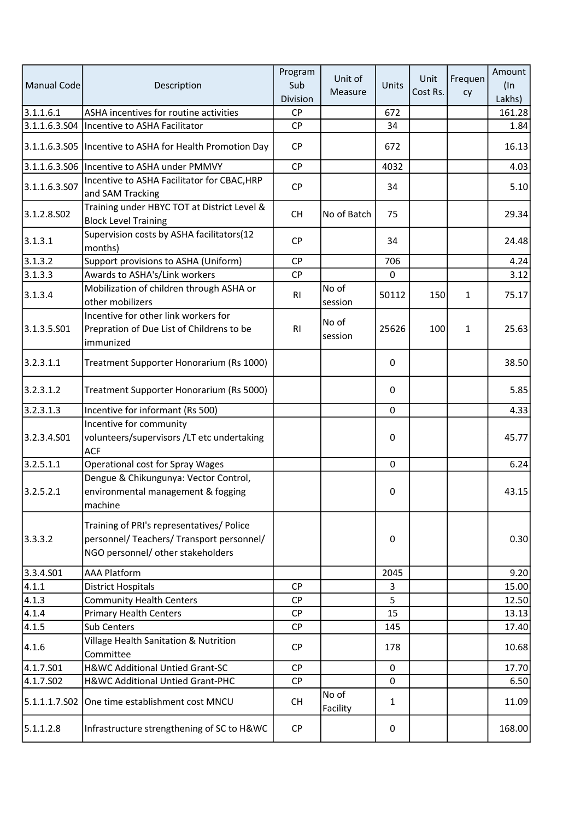| <b>Manual Code</b>    | Description                                                                                                                 | Program<br>Sub<br>Division | Unit of<br>Measure | Units        | Unit<br>Cost Rs. | Frequen<br>cy | Amount<br>$($ ln<br>Lakhs) |
|-----------------------|-----------------------------------------------------------------------------------------------------------------------------|----------------------------|--------------------|--------------|------------------|---------------|----------------------------|
| 3.1.1.6.1             | ASHA incentives for routine activities                                                                                      | <b>CP</b>                  |                    | 672          |                  |               | 161.28                     |
|                       | 3.1.1.6.3.S04  Incentive to ASHA Facilitator                                                                                | <b>CP</b>                  |                    | 34           |                  |               | 1.84                       |
|                       | 3.1.1.6.3.S05   Incentive to ASHA for Health Promotion Day                                                                  | <b>CP</b>                  |                    | 672          |                  |               | 16.13                      |
|                       | 3.1.1.6.3.S06   Incentive to ASHA under PMMVY                                                                               | <b>CP</b>                  |                    | 4032         |                  |               | 4.03                       |
| 3.1.1.6.3.507         | Incentive to ASHA Facilitator for CBAC, HRP<br>and SAM Tracking                                                             | <b>CP</b>                  |                    | 34           |                  |               | 5.10                       |
| 3.1.2.8.502           | Training under HBYC TOT at District Level &<br><b>Block Level Training</b>                                                  | <b>CH</b>                  | No of Batch        | 75           |                  |               | 29.34                      |
| 3.1.3.1               | Supervision costs by ASHA facilitators(12<br>months)                                                                        | <b>CP</b>                  |                    | 34           |                  |               | 24.48                      |
| 3.1.3.2               | Support provisions to ASHA (Uniform)                                                                                        | <b>CP</b>                  |                    | 706          |                  |               | 4.24                       |
| 3.1.3.3               | Awards to ASHA's/Link workers                                                                                               | <b>CP</b>                  |                    | 0            |                  |               | 3.12                       |
| 3.1.3.4               | Mobilization of children through ASHA or<br>other mobilizers                                                                | R1                         | No of<br>session   | 50112        | 150              | 1             | 75.17                      |
| 3.1.3.5.501           | Incentive for other link workers for<br>Prepration of Due List of Childrens to be<br>immunized                              | R1                         | No of<br>session   | 25626        | 100              | 1             | 25.63                      |
| 3.2.3.1.1             | Treatment Supporter Honorarium (Rs 1000)                                                                                    |                            |                    | 0            |                  |               | 38.50                      |
| 3.2.3.1.2             | Treatment Supporter Honorarium (Rs 5000)                                                                                    |                            |                    | 0            |                  |               | 5.85                       |
| 3.2.3.1.3             | Incentive for informant (Rs 500)                                                                                            |                            |                    | $\mathbf 0$  |                  |               | 4.33                       |
| 3.2.3.4.501           | Incentive for community<br>volunteers/supervisors /LT etc undertaking<br><b>ACF</b>                                         |                            |                    | 0            |                  |               | 45.77                      |
| 3.2.5.1.1             | Operational cost for Spray Wages                                                                                            |                            |                    | $\mathbf{0}$ |                  |               | 6.24                       |
| 3.2.5.2.1             | Dengue & Chikungunya: Vector Control,<br>environmental management & fogging<br>machine                                      |                            |                    | 0            |                  |               | 43.15                      |
| 3.3.3.2               | Training of PRI's representatives/ Police<br>personnel/ Teachers/ Transport personnel/<br>NGO personnel/ other stakeholders |                            |                    | 0            |                  |               | 0.30                       |
| 3.3.4.S01             | <b>AAA Platform</b>                                                                                                         |                            |                    | 2045         |                  |               | 9.20                       |
| 4.1.1                 | <b>District Hospitals</b>                                                                                                   | <b>CP</b>                  |                    | 3            |                  |               | 15.00                      |
| 4.1.3                 | <b>Community Health Centers</b>                                                                                             | <b>CP</b>                  |                    | 5            |                  |               | 12.50                      |
| 4.1.4                 | <b>Primary Health Centers</b>                                                                                               | <b>CP</b>                  |                    | 15           |                  |               | 13.13                      |
| 4.1.5                 | Sub Centers                                                                                                                 | <b>CP</b>                  |                    | 145          |                  |               | 17.40                      |
| 4.1.6                 | Village Health Sanitation & Nutrition<br>Committee                                                                          | <b>CP</b>                  |                    | 178          |                  |               | 10.68                      |
| 4.1.7.S01             | H&WC Additional Untied Grant-SC                                                                                             | <b>CP</b>                  |                    | $\mathbf 0$  |                  |               | 17.70                      |
| 4.1.7.SO <sub>2</sub> | H&WC Additional Untied Grant-PHC                                                                                            | <b>CP</b>                  |                    | $\mathbf 0$  |                  |               | 6.50                       |
|                       | 5.1.1.1.7.S02 One time establishment cost MNCU                                                                              | <b>CH</b>                  | No of<br>Facility  | 1            |                  |               | 11.09                      |
| 5.1.1.2.8             | Infrastructure strengthening of SC to H&WC                                                                                  | <b>CP</b>                  |                    | 0            |                  |               | 168.00                     |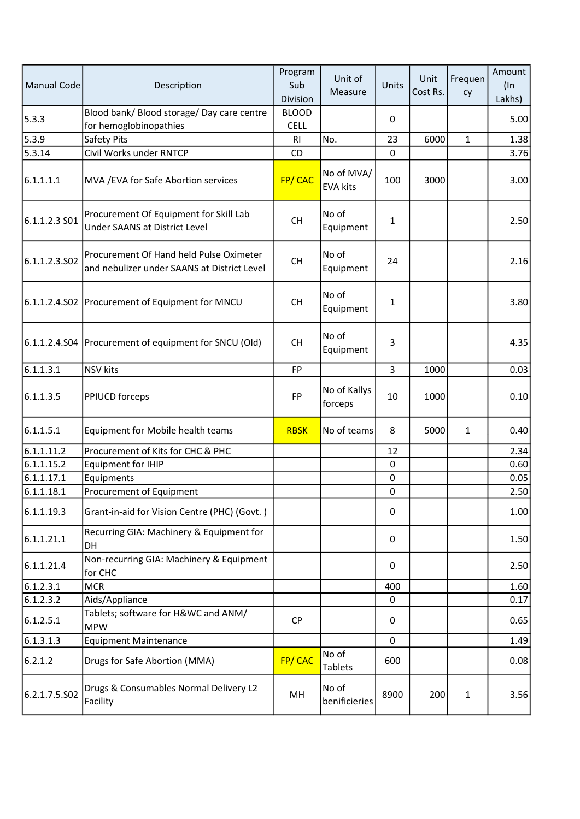| <b>Manual Code</b> | Description                                                                            | Program<br>Sub<br>Division  | Unit of<br>Measure            | Units        | Unit<br>Cost Rs. | Frequen<br>cy | Amount<br>$($ ln<br>Lakhs) |
|--------------------|----------------------------------------------------------------------------------------|-----------------------------|-------------------------------|--------------|------------------|---------------|----------------------------|
| 5.3.3              | Blood bank/ Blood storage/ Day care centre<br>for hemoglobinopathies                   | <b>BLOOD</b><br><b>CELL</b> |                               | 0            |                  |               | 5.00                       |
| 5.3.9              | Safety Pits                                                                            | R1                          | No.                           | 23           | 6000             | $\mathbf{1}$  | 1.38                       |
| 5.3.14             | Civil Works under RNTCP                                                                | CD                          |                               | 0            |                  |               | 3.76                       |
| 6.1.1.1.1          | MVA / EVA for Safe Abortion services                                                   | FP/CAC                      | No of MVA/<br><b>EVA kits</b> | 100          | 3000             |               | 3.00                       |
| 6.1.1.2.3S         | Procurement Of Equipment for Skill Lab<br><b>Under SAANS at District Level</b>         | <b>CH</b>                   | No of<br>Equipment            | 1            |                  |               | 2.50                       |
| 6.1.1.2.3.502      | Procurement Of Hand held Pulse Oximeter<br>and nebulizer under SAANS at District Level | <b>CH</b>                   | No of<br>Equipment            | 24           |                  |               | 2.16                       |
|                    | 6.1.1.2.4.S02 Procurement of Equipment for MNCU                                        | <b>CH</b>                   | No of<br>Equipment            | $\mathbf{1}$ |                  |               | 3.80                       |
|                    | 6.1.1.2.4.S04   Procurement of equipment for SNCU (Old)                                | <b>CH</b>                   | No of<br>Equipment            | 3            |                  |               | 4.35                       |
| 6.1.1.3.1          | <b>NSV</b> kits                                                                        | FP                          |                               | 3            | 1000             |               | 0.03                       |
| 6.1.1.3.5          | <b>PPIUCD forceps</b>                                                                  | <b>FP</b>                   | No of Kallys<br>forceps       | 10           | 1000             |               | 0.10                       |
| 6.1.1.5.1          | Equipment for Mobile health teams                                                      | <b>RBSK</b>                 | No of teams                   | 8            | 5000             | 1             | 0.40                       |
| 6.1.1.11.2         | Procurement of Kits for CHC & PHC                                                      |                             |                               | 12           |                  |               | 2.34                       |
| 6.1.1.15.2         | <b>Equipment for IHIP</b>                                                              |                             |                               | 0            |                  |               | 0.60                       |
| 6.1.1.17.1         | Equipments                                                                             |                             |                               | 0            |                  |               | 0.05                       |
| 6.1.1.18.1         | Procurement of Equipment                                                               |                             |                               | 0            |                  |               | 2.50                       |
| 6.1.1.19.3         | Grant-in-aid for Vision Centre (PHC) (Govt.)                                           |                             |                               | 0            |                  |               | 1.00                       |
| 6.1.1.21.1         | Recurring GIA: Machinery & Equipment for<br>DH                                         |                             |                               | 0            |                  |               | 1.50                       |
| 6.1.1.21.4         | Non-recurring GIA: Machinery & Equipment<br>for CHC                                    |                             |                               | 0            |                  |               | 2.50                       |
| 6.1.2.3.1          | <b>MCR</b>                                                                             |                             |                               | 400          |                  |               | 1.60                       |
| 6.1.2.3.2          | Aids/Appliance                                                                         |                             |                               | 0            |                  |               | 0.17                       |
| 6.1.2.5.1          | Tablets; software for H&WC and ANM/<br><b>MPW</b>                                      | <b>CP</b>                   |                               | 0            |                  |               | 0.65                       |
| 6.1.3.1.3          | <b>Equipment Maintenance</b>                                                           |                             |                               | $\mathbf 0$  |                  |               | 1.49                       |
| 6.2.1.2            | Drugs for Safe Abortion (MMA)                                                          | FP/CAC                      | No of<br><b>Tablets</b>       | 600          |                  |               | 0.08                       |
| 6.2.1.7.5.502      | Drugs & Consumables Normal Delivery L2<br>Facility                                     | MН                          | No of<br>benificieries        | 8900         | 200              | $\mathbf{1}$  | 3.56                       |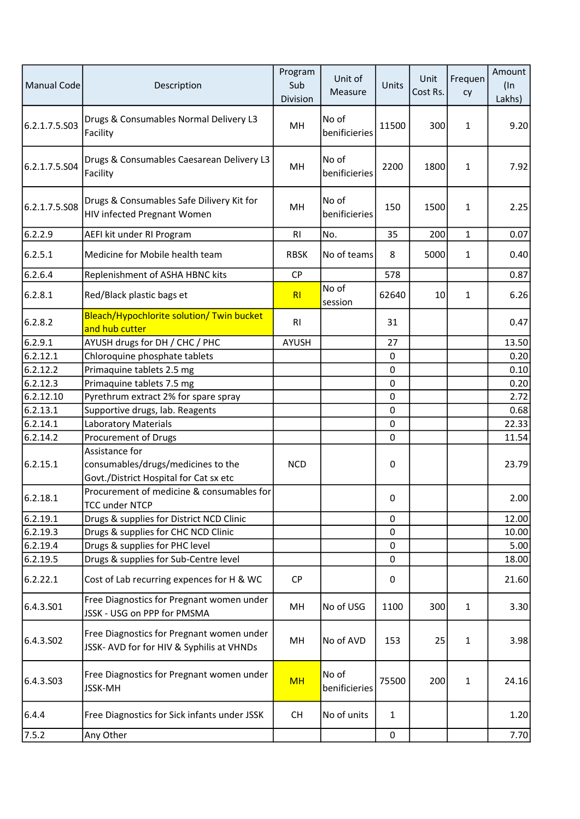| <b>Manual Code</b> | Description                                                                                    | Program<br>Sub<br>Division | Unit of<br>Measure     | Units            | Unit<br>Cost Rs. | Frequen<br>cy | Amount<br>$($ In<br>Lakhs) |
|--------------------|------------------------------------------------------------------------------------------------|----------------------------|------------------------|------------------|------------------|---------------|----------------------------|
| 6.2.1.7.5.S03      | Drugs & Consumables Normal Delivery L3<br>Facility                                             | MH                         | No of<br>benificieries | 11500            | 300              | 1             | 9.20                       |
| 6.2.1.7.5.S04      | Drugs & Consumables Caesarean Delivery L3<br>Facility                                          | MH                         | No of<br>benificieries | 2200             | 1800             | 1             | 7.92                       |
| 6.2.1.7.5.508      | Drugs & Consumables Safe Dilivery Kit for<br><b>HIV infected Pregnant Women</b>                | MH                         | No of<br>benificieries | 150              | 1500             | 1             | 2.25                       |
| 6.2.2.9            | AEFI kit under RI Program                                                                      | <b>RI</b>                  | No.                    | 35               | 200              | $\mathbf{1}$  | 0.07                       |
| 6.2.5.1            | Medicine for Mobile health team                                                                | <b>RBSK</b>                | No of teams            | 8                | 5000             | $\mathbf{1}$  | 0.40                       |
| 6.2.6.4            | Replenishment of ASHA HBNC kits                                                                | <b>CP</b>                  |                        | 578              |                  |               | 0.87                       |
| 6.2.8.1            | Red/Black plastic bags et                                                                      | RI                         | No of<br>session       | 62640            | 10               | 1             | 6.26                       |
| 6.2.8.2            | Bleach/Hypochlorite solution/ Twin bucket<br>and hub cutter                                    | R <sub>1</sub>             |                        | 31               |                  |               | 0.47                       |
| 6.2.9.1            | AYUSH drugs for DH / CHC / PHC                                                                 | <b>AYUSH</b>               |                        | 27               |                  |               | 13.50                      |
| 6.2.12.1           | Chloroquine phosphate tablets                                                                  |                            |                        | 0                |                  |               | 0.20                       |
| 6.2.12.2           | Primaquine tablets 2.5 mg                                                                      |                            |                        | $\mathbf 0$      |                  |               | 0.10                       |
| 6.2.12.3           | Primaquine tablets 7.5 mg                                                                      |                            |                        | $\mathbf 0$      |                  |               | 0.20                       |
| 6.2.12.10          | Pyrethrum extract 2% for spare spray                                                           |                            |                        | 0                |                  |               | 2.72                       |
| 6.2.13.1           | Supportive drugs, lab. Reagents                                                                |                            |                        | $\boldsymbol{0}$ |                  |               | 0.68                       |
| 6.2.14.1           | <b>Laboratory Materials</b>                                                                    |                            |                        | $\mathbf 0$      |                  |               | 22.33                      |
| 6.2.14.2           | Procurement of Drugs                                                                           |                            |                        | $\mathbf 0$      |                  |               | 11.54                      |
| 6.2.15.1           | Assistance for<br>consumables/drugs/medicines to the<br>Govt./District Hospital for Cat sx etc | <b>NCD</b>                 |                        | $\mathbf 0$      |                  |               | 23.79                      |
| 6.2.18.1           | Procurement of medicine & consumables for<br><b>TCC under NTCP</b>                             |                            |                        | 0                |                  |               | 2.00                       |
| 6.2.19.1           | Drugs & supplies for District NCD Clinic                                                       |                            |                        | 0                |                  |               | 12.00                      |
| 6.2.19.3           | Drugs & supplies for CHC NCD Clinic                                                            |                            |                        | $\boldsymbol{0}$ |                  |               | 10.00                      |
| 6.2.19.4           | Drugs & supplies for PHC level                                                                 |                            |                        | 0                |                  |               | 5.00                       |
| 6.2.19.5           | Drugs & supplies for Sub-Centre level                                                          |                            |                        | $\boldsymbol{0}$ |                  |               | 18.00                      |
| 6.2.22.1           | Cost of Lab recurring expences for H & WC                                                      | <b>CP</b>                  |                        | 0                |                  |               | 21.60                      |
| 6.4.3.501          | Free Diagnostics for Pregnant women under<br>JSSK - USG on PPP for PMSMA                       | MН                         | No of USG              | 1100             | 300              | 1             | 3.30                       |
| 6.4.3.502          | Free Diagnostics for Pregnant women under<br>JSSK- AVD for for HIV & Syphilis at VHNDs         | MН                         | No of AVD              | 153              | 25               | $\mathbf{1}$  | 3.98                       |
| 6.4.3.503          | Free Diagnostics for Pregnant women under<br><b>JSSK-MH</b>                                    | <b>MH</b>                  | No of<br>benificieries | 75500            | 200              | 1             | 24.16                      |
| 6.4.4              | Free Diagnostics for Sick infants under JSSK                                                   | <b>CH</b>                  | No of units            | 1                |                  |               | 1.20                       |
| 7.5.2              | Any Other                                                                                      |                            |                        | 0                |                  |               | 7.70                       |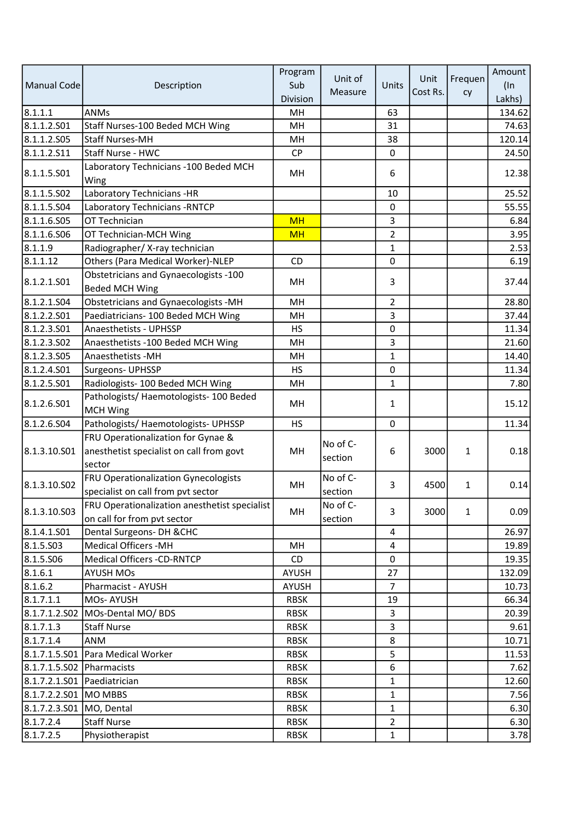|                             |                                                                                   | Program      | Unit of             |                | Unit     | Frequen      | Amount |
|-----------------------------|-----------------------------------------------------------------------------------|--------------|---------------------|----------------|----------|--------------|--------|
| <b>Manual Code</b>          | Description                                                                       | Sub          |                     | Units          |          |              | $($ In |
|                             |                                                                                   | Division     | Measure             |                | Cost Rs. | cy           | Lakhs) |
| 8.1.1.1                     | <b>ANMs</b>                                                                       | MH           |                     | 63             |          |              | 134.62 |
| 8.1.1.2.501                 | Staff Nurses-100 Beded MCH Wing                                                   | MH           |                     | 31             |          |              | 74.63  |
| 8.1.1.2.505                 | <b>Staff Nurses-MH</b>                                                            | MH           |                     | 38             |          |              | 120.14 |
| 8.1.1.2.511                 | Staff Nurse - HWC                                                                 | <b>CP</b>    |                     | 0              |          |              | 24.50  |
| 8.1.1.5.S01                 | Laboratory Technicians -100 Beded MCH<br>Wing                                     | MH.          |                     | 6              |          |              | 12.38  |
| 8.1.1.5.S02                 | Laboratory Technicians -HR                                                        |              |                     | 10             |          |              | 25.52  |
| 8.1.1.5.504                 | Laboratory Technicians - RNTCP                                                    |              |                     | 0              |          |              | 55.55  |
| 8.1.1.6.S05                 | OT Technician                                                                     | <b>MH</b>    |                     | 3              |          |              | 6.84   |
| 8.1.1.6.506                 | OT Technician-MCH Wing                                                            | <b>MH</b>    |                     | $\overline{2}$ |          |              | 3.95   |
| 8.1.1.9                     | Radiographer/X-ray technician                                                     |              |                     | $\mathbf{1}$   |          |              | 2.53   |
| 8.1.1.12                    | Others (Para Medical Worker)-NLEP                                                 | CD           |                     | 0              |          |              | 6.19   |
|                             | Obstetricians and Gynaecologists -100                                             |              |                     |                |          |              |        |
| 8.1.2.1.501                 | <b>Beded MCH Wing</b>                                                             | MН           |                     | 3              |          |              | 37.44  |
| 8.1.2.1.504                 | Obstetricians and Gynaecologists -MH                                              | MH           |                     | $\overline{2}$ |          |              | 28.80  |
| 8.1.2.2.501                 | Paediatricians- 100 Beded MCH Wing                                                | MH           |                     | 3              |          |              | 37.44  |
| 8.1.2.3.501                 | Anaesthetists - UPHSSP                                                            | <b>HS</b>    |                     | 0              |          |              | 11.34  |
| 8.1.2.3.502                 | Anaesthetists - 100 Beded MCH Wing                                                | MH           |                     | 3              |          |              | 21.60  |
| 8.1.2.3.505                 | Anaesthetists - MH                                                                | MH           |                     | $\mathbf{1}$   |          |              | 14.40  |
| 8.1.2.4.501                 | Surgeons- UPHSSP                                                                  | <b>HS</b>    |                     | 0              |          |              | 11.34  |
| 8.1.2.5.501                 | Radiologists- 100 Beded MCH Wing                                                  | MH           |                     | $\mathbf{1}$   |          |              | 7.80   |
|                             | Pathologists/Haemotologists-100 Beded                                             |              |                     |                |          |              |        |
| 8.1.2.6.S01                 | MCH Wing                                                                          | MH           |                     | 1              |          |              | 15.12  |
| 8.1.2.6.504                 | Pathologists/ Haemotologists- UPHSSP                                              | <b>HS</b>    |                     | $\pmb{0}$      |          |              | 11.34  |
|                             | FRU Operationalization for Gynae &                                                |              |                     |                |          |              |        |
| 8.1.3.10.S01                | anesthetist specialist on call from govt                                          | MН           | No of C-            | 6              | 3000     | 1            | 0.18   |
|                             | sector                                                                            |              | section             |                |          |              |        |
| 8.1.3.10.S02                | <b>FRU Operationalization Gynecologists</b><br>specialist on call from pvt sector | MH           | No of C-<br>section | 3              | 4500     | 1            | 0.14   |
|                             | FRU Operationalization anesthetist specialist                                     |              | No of C-            |                |          |              |        |
| 8.1.3.10.S03                | on call for from pvt sector                                                       | MH           | section             | 3              | 3000     | $\mathbf{1}$ | 0.09   |
| 8.1.4.1.501                 | Dental Surgeons- DH & CHC                                                         |              |                     | 4              |          |              | 26.97  |
| 8.1.5.503                   | Medical Officers - MH                                                             | MH           |                     | 4              |          |              | 19.89  |
| 8.1.5.506                   | <b>Medical Officers -CD-RNTCP</b>                                                 | CD           |                     | $\pmb{0}$      |          |              | 19.35  |
| 8.1.6.1                     | <b>AYUSH MOs</b>                                                                  | AYUSH        |                     | 27             |          |              | 132.09 |
| 8.1.6.2                     | Pharmacist - AYUSH                                                                | <b>AYUSH</b> |                     | $\overline{7}$ |          |              | 10.73  |
| 8.1.7.1.1                   | MOs-AYUSH                                                                         | <b>RBSK</b>  |                     | 19             |          |              | 66.34  |
|                             | 8.1.7.1.2.S02 MOs-Dental MO/ BDS                                                  | <b>RBSK</b>  |                     | 3              |          |              | 20.39  |
| 8.1.7.1.3                   | <b>Staff Nurse</b>                                                                | <b>RBSK</b>  |                     | 3              |          |              | 9.61   |
| 8.1.7.1.4                   | ANM                                                                               | <b>RBSK</b>  |                     | 8              |          |              | 10.71  |
|                             | 8.1.7.1.5.S01 Para Medical Worker                                                 | <b>RBSK</b>  |                     | 5              |          |              | 11.53  |
| 8.1.7.1.5.S02 Pharmacists   |                                                                                   | <b>RBSK</b>  |                     | 6              |          |              | 7.62   |
| 8.1.7.2.1.S01 Paediatrician |                                                                                   | <b>RBSK</b>  |                     | $\mathbf{1}$   |          |              | 12.60  |
| 8.1.7.2.2.S01 MO MBBS       |                                                                                   | <b>RBSK</b>  |                     | 1              |          |              | 7.56   |
| 8.1.7.2.3.501               | MO, Dental                                                                        | <b>RBSK</b>  |                     | 1              |          |              | 6.30   |
| 8.1.7.2.4                   | <b>Staff Nurse</b>                                                                | <b>RBSK</b>  |                     | $\overline{2}$ |          |              | 6.30   |
| 8.1.7.2.5                   | Physiotherapist                                                                   | <b>RBSK</b>  |                     | $\mathbf{1}$   |          |              | 3.78   |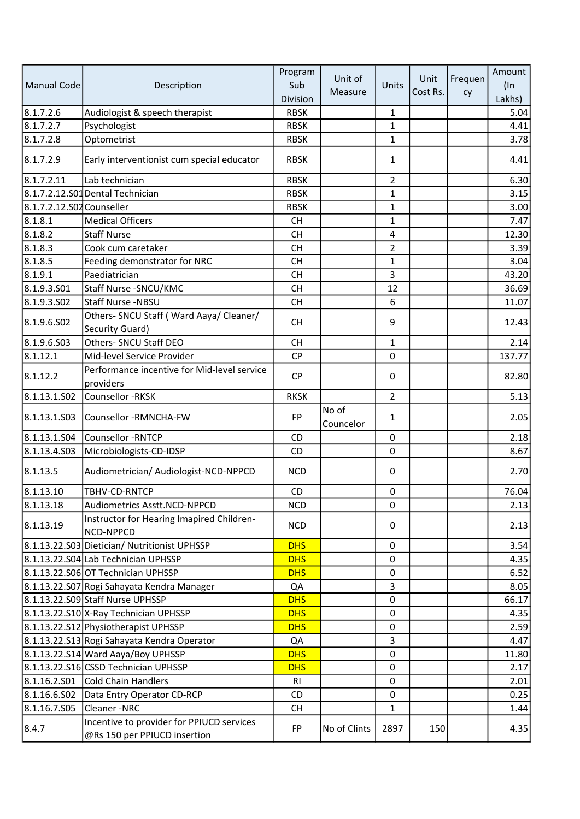|                           |                                                                           | Program     |                    |                |          |         | Amount |
|---------------------------|---------------------------------------------------------------------------|-------------|--------------------|----------------|----------|---------|--------|
| Manual Code               | Description                                                               | Sub         | Unit of            | Units          | Unit     | Frequen | $($ In |
|                           |                                                                           | Division    | Measure            |                | Cost Rs. | cy      | Lakhs) |
| 8.1.7.2.6                 | Audiologist & speech therapist                                            | <b>RBSK</b> |                    | 1              |          |         | 5.04   |
| 8.1.7.2.7                 | Psychologist                                                              | <b>RBSK</b> |                    | $\mathbf{1}$   |          |         | 4.41   |
| 8.1.7.2.8                 | Optometrist                                                               | <b>RBSK</b> |                    | $\mathbf{1}$   |          |         | 3.78   |
| 8.1.7.2.9                 | Early interventionist cum special educator                                | <b>RBSK</b> |                    | 1              |          |         | 4.41   |
| 8.1.7.2.11                | Lab technician                                                            | <b>RBSK</b> |                    | $\overline{2}$ |          |         | 6.30   |
|                           | 8.1.7.2.12.S01 Dental Technician                                          | <b>RBSK</b> |                    | $\mathbf{1}$   |          |         | 3.15   |
| 8.1.7.2.12.S02 Counseller |                                                                           | <b>RBSK</b> |                    | 1              |          |         | 3.00   |
| 8.1.8.1                   | <b>Medical Officers</b>                                                   | <b>CH</b>   |                    | 1              |          |         | 7.47   |
| 8.1.8.2                   | <b>Staff Nurse</b>                                                        | <b>CH</b>   |                    | 4              |          |         | 12.30  |
| 8.1.8.3                   | Cook cum caretaker                                                        | <b>CH</b>   |                    | $\overline{2}$ |          |         | 3.39   |
| 8.1.8.5                   | Feeding demonstrator for NRC                                              | <b>CH</b>   |                    | $\mathbf{1}$   |          |         | 3.04   |
| 8.1.9.1                   | Paediatrician                                                             | <b>CH</b>   |                    | 3              |          |         | 43.20  |
| 8.1.9.3.501               | Staff Nurse - SNCU/KMC                                                    | <b>CH</b>   |                    | 12             |          |         | 36.69  |
| 8.1.9.3.502               | Staff Nurse -NBSU                                                         | <b>CH</b>   |                    | 6              |          |         | 11.07  |
| 8.1.9.6.S02               | Others- SNCU Staff (Ward Aaya/ Cleaner/<br>Security Guard)                | <b>CH</b>   |                    | 9              |          |         | 12.43  |
| 8.1.9.6.S03               | Others- SNCU Staff DEO                                                    | <b>CH</b>   |                    | 1              |          |         | 2.14   |
| 8.1.12.1                  | Mid-level Service Provider                                                | CP          |                    | $\pmb{0}$      |          |         | 137.77 |
|                           | Performance incentive for Mid-level service                               |             |                    |                |          |         |        |
| 8.1.12.2                  | providers                                                                 | CP          |                    | $\pmb{0}$      |          |         | 82.80  |
| 8.1.13.1.502              | Counsellor - RKSK                                                         | <b>RKSK</b> |                    | $\overline{2}$ |          |         | 5.13   |
| 8.1.13.1.503              | Counsellor -RMNCHA-FW                                                     | FP          | No of<br>Councelor | 1              |          |         | 2.05   |
| 8.1.13.1.504              | Counsellor -RNTCP                                                         | CD          |                    | $\pmb{0}$      |          |         | 2.18   |
| 8.1.13.4.503              | Microbiologists-CD-IDSP                                                   | CD          |                    | 0              |          |         | 8.67   |
| 8.1.13.5                  | Audiometrician/ Audiologist-NCD-NPPCD                                     | <b>NCD</b>  |                    | $\pmb{0}$      |          |         | 2.70   |
| 8.1.13.10                 | TBHV-CD-RNTCP                                                             | CD          |                    | 0              |          |         | 76.04  |
| 8.1.13.18                 | Audiometrics Asstt.NCD-NPPCD                                              | <b>NCD</b>  |                    | 0              |          |         | 2.13   |
| 8.1.13.19                 | Instructor for Hearing Imapired Children-<br>NCD-NPPCD                    | <b>NCD</b>  |                    | 0              |          |         | 2.13   |
|                           | 8.1.13.22.S03 Dietician/ Nutritionist UPHSSP                              | <b>DHS</b>  |                    | 0              |          |         | 3.54   |
|                           | 8.1.13.22.S04 Lab Technician UPHSSP                                       | <b>DHS</b>  |                    | $\pmb{0}$      |          |         | 4.35   |
|                           | 8.1.13.22.S06 OT Technician UPHSSP                                        | <b>DHS</b>  |                    | 0              |          |         | 6.52   |
|                           | 8.1.13.22.S07 Rogi Sahayata Kendra Manager                                | QA          |                    | 3              |          |         | 8.05   |
|                           | 8.1.13.22.S09 Staff Nurse UPHSSP                                          | <b>DHS</b>  |                    | $\pmb{0}$      |          |         | 66.17  |
|                           | 8.1.13.22.S10 X-Ray Technician UPHSSP                                     | <b>DHS</b>  |                    | 0              |          |         | 4.35   |
|                           | 8.1.13.22.S12 Physiotherapist UPHSSP                                      | <b>DHS</b>  |                    | 0              |          |         | 2.59   |
|                           | 8.1.13.22.S13 Rogi Sahayata Kendra Operator                               | QA          |                    | 3              |          |         | 4.47   |
|                           | 8.1.13.22.S14 Ward Aaya/Boy UPHSSP                                        | <b>DHS</b>  |                    | $\pmb{0}$      |          |         | 11.80  |
|                           | 8.1.13.22.S16 CSSD Technician UPHSSP                                      | <b>DHS</b>  |                    | 0              |          |         | 2.17   |
| 8.1.16.2.501              | Cold Chain Handlers                                                       | RI.         |                    | 0              |          |         | 2.01   |
| 8.1.16.6.502              | Data Entry Operator CD-RCP                                                | CD          |                    | $\pmb{0}$      |          |         | 0.25   |
| 8.1.16.7.505              | Cleaner-NRC                                                               | <b>CH</b>   |                    | 1              |          |         | 1.44   |
| 8.4.7                     | Incentive to provider for PPIUCD services<br>@Rs 150 per PPIUCD insertion | FP          | No of Clints       | 2897           | 150      |         | 4.35   |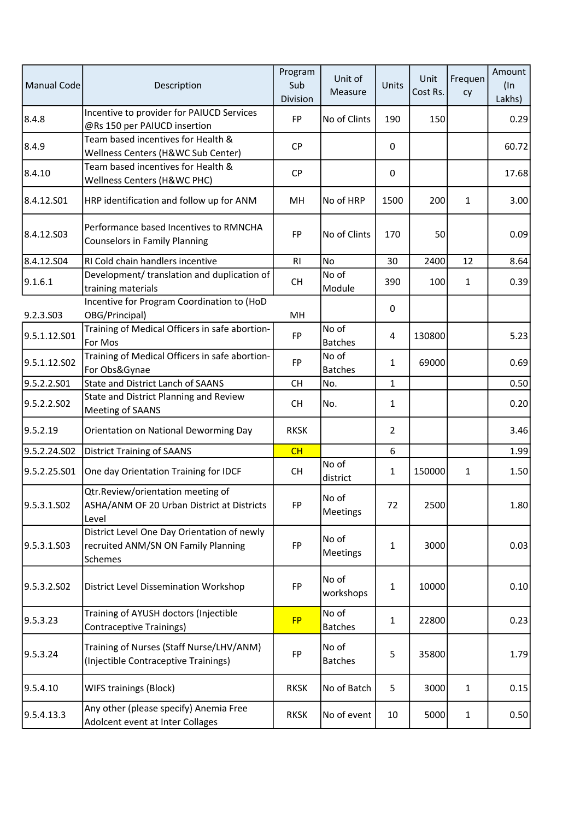| <b>Manual Code</b> | Description                                                                                   | Program<br>Sub<br>Division | Unit of<br>Measure      | Units          | Unit<br>Cost Rs. | Frequen<br>cy | Amount<br>$($ ln<br>Lakhs) |
|--------------------|-----------------------------------------------------------------------------------------------|----------------------------|-------------------------|----------------|------------------|---------------|----------------------------|
| 8.4.8              | Incentive to provider for PAIUCD Services<br>@Rs 150 per PAIUCD insertion                     | <b>FP</b>                  | No of Clints            | 190            | 150              |               | 0.29                       |
| 8.4.9              | Team based incentives for Health &<br>Wellness Centers (H&WC Sub Center)                      | <b>CP</b>                  |                         | 0              |                  |               | 60.72                      |
| 8.4.10             | Team based incentives for Health &<br>Wellness Centers (H&WC PHC)                             | <b>CP</b>                  |                         | 0              |                  |               | 17.68                      |
| 8.4.12.S01         | HRP identification and follow up for ANM                                                      | MH                         | No of HRP               | 1500           | 200              | 1             | 3.00                       |
| 8.4.12.503         | Performance based Incentives to RMNCHA<br><b>Counselors in Family Planning</b>                | FP                         | No of Clints            | 170            | 50               |               | 0.09                       |
| 8.4.12.S04         | RI Cold chain handlers incentive                                                              | R <sub>l</sub>             | <b>No</b>               | 30             | 2400             | 12            | 8.64                       |
| 9.1.6.1            | Development/ translation and duplication of<br>training materials                             | <b>CH</b>                  | No of<br>Module         | 390            | 100              | 1             | 0.39                       |
| 9.2.3.S03          | Incentive for Program Coordination to (HoD<br>OBG/Principal)                                  | MH                         |                         | 0              |                  |               |                            |
| 9.5.1.12.S01       | Training of Medical Officers in safe abortion-<br>For Mos                                     | <b>FP</b>                  | No of<br><b>Batches</b> | 4              | 130800           |               | 5.23                       |
| 9.5.1.12.S02       | Training of Medical Officers in safe abortion-<br>For Obs&Gynae                               | <b>FP</b>                  | No of<br><b>Batches</b> | 1              | 69000            |               | 0.69                       |
| 9.5.2.2.S01        | <b>State and District Lanch of SAANS</b>                                                      | <b>CH</b>                  | No.                     | $\mathbf{1}$   |                  |               | 0.50                       |
| 9.5.2.2.SO2        | State and District Planning and Review<br><b>Meeting of SAANS</b>                             | <b>CH</b>                  | No.                     | 1              |                  |               | 0.20                       |
| 9.5.2.19           | Orientation on National Deworming Day                                                         | <b>RKSK</b>                |                         | $\overline{2}$ |                  |               | 3.46                       |
| 9.5.2.24.S02       | <b>District Training of SAANS</b>                                                             | CH                         |                         | 6              |                  |               | 1.99                       |
| 9.5.2.25.S01       | One day Orientation Training for IDCF                                                         | <b>CH</b>                  | No of<br>district       | $\mathbf{1}$   | 150000           | 1             | 1.50                       |
| 9.5.3.1.SO2        | Qtr.Review/orientation meeting of<br>ASHA/ANM OF 20 Urban District at Districts<br>Level      | FP                         | No of<br>Meetings       | 72             | 2500             |               | 1.80                       |
| 9.5.3.1.S03        | District Level One Day Orientation of newly<br>recruited ANM/SN ON Family Planning<br>Schemes | FP                         | No of<br>Meetings       | 1              | 3000             |               | 0.03                       |
| 9.5.3.2.SO2        | <b>District Level Dissemination Workshop</b>                                                  | <b>FP</b>                  | No of<br>workshops      | 1              | 10000            |               | 0.10                       |
| 9.5.3.23           | Training of AYUSH doctors (Injectible<br>Contraceptive Trainings)                             | <b>FP</b>                  | No of<br><b>Batches</b> | $\mathbf{1}$   | 22800            |               | 0.23                       |
| 9.5.3.24           | Training of Nurses (Staff Nurse/LHV/ANM)<br>(Injectible Contraceptive Trainings)              | FP                         | No of<br><b>Batches</b> | 5              | 35800            |               | 1.79                       |
| 9.5.4.10           | WIFS trainings (Block)                                                                        | <b>RKSK</b>                | No of Batch             | 5              | 3000             | $\mathbf{1}$  | 0.15                       |
| 9.5.4.13.3         | Any other (please specify) Anemia Free<br>Adolcent event at Inter Collages                    | <b>RKSK</b>                | No of event             | 10             | 5000             | $\mathbf{1}$  | 0.50                       |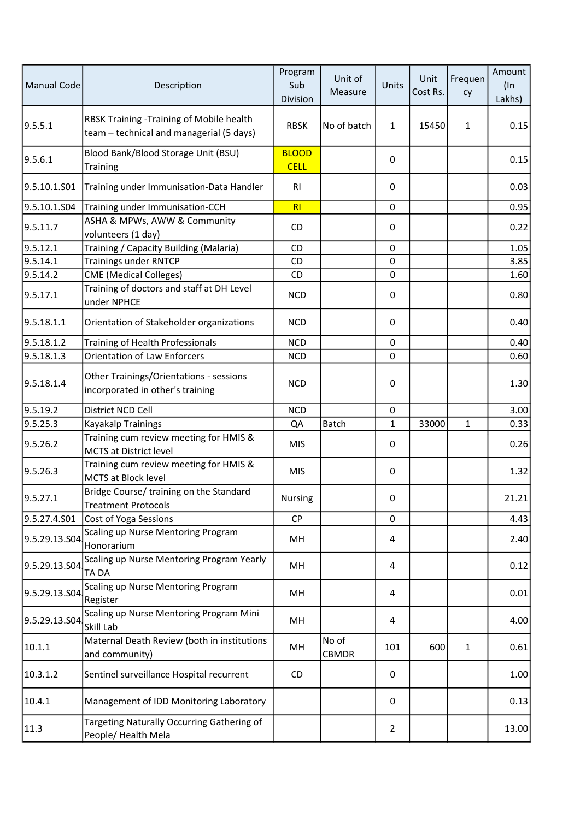| <b>Manual Code</b> | Description                                                                          | Program<br>Sub<br>Division  | Unit of<br>Measure    | Units          | Unit<br>Cost Rs. | Frequen<br>cy | Amount<br>$(\ln$<br>Lakhs) |
|--------------------|--------------------------------------------------------------------------------------|-----------------------------|-----------------------|----------------|------------------|---------------|----------------------------|
| 9.5.5.1            | RBSK Training -Training of Mobile health<br>team - technical and managerial (5 days) | <b>RBSK</b>                 | No of batch           | $\mathbf{1}$   | 15450            | $\mathbf{1}$  | 0.15                       |
| 9.5.6.1            | Blood Bank/Blood Storage Unit (BSU)<br><b>Training</b>                               | <b>BLOOD</b><br><b>CELL</b> |                       | 0              |                  |               | 0.15                       |
| 9.5.10.1.S01       | Training under Immunisation-Data Handler                                             | RI                          |                       | 0              |                  |               | 0.03                       |
| 9.5.10.1.S04       | Training under Immunisation-CCH                                                      | RI                          |                       | $\mathbf 0$    |                  |               | 0.95                       |
| 9.5.11.7           | ASHA & MPWs, AWW & Community<br>volunteers (1 day)                                   | <b>CD</b>                   |                       | $\mathbf 0$    |                  |               | 0.22                       |
| 9.5.12.1           | Training / Capacity Building (Malaria)                                               | <b>CD</b>                   |                       | $\mathbf 0$    |                  |               | 1.05                       |
| 9.5.14.1           | <b>Trainings under RNTCP</b>                                                         | CD                          |                       | $\mathbf 0$    |                  |               | 3.85                       |
| 9.5.14.2           | <b>CME</b> (Medical Colleges)                                                        | CD                          |                       | 0              |                  |               | 1.60                       |
| 9.5.17.1           | Training of doctors and staff at DH Level<br>under NPHCE                             | <b>NCD</b>                  |                       | 0              |                  |               | 0.80                       |
| 9.5.18.1.1         | Orientation of Stakeholder organizations                                             | <b>NCD</b>                  |                       | 0              |                  |               | 0.40                       |
| 9.5.18.1.2         | Training of Health Professionals                                                     | <b>NCD</b>                  |                       | $\mathbf 0$    |                  |               | 0.40                       |
| 9.5.18.1.3         | <b>Orientation of Law Enforcers</b>                                                  | <b>NCD</b>                  |                       | 0              |                  |               | 0.60                       |
| 9.5.18.1.4         | Other Trainings/Orientations - sessions<br>incorporated in other's training          | <b>NCD</b>                  |                       | $\mathbf 0$    |                  |               | 1.30                       |
| 9.5.19.2           | District NCD Cell                                                                    | <b>NCD</b>                  |                       | $\mathbf 0$    |                  |               | 3.00                       |
| 9.5.25.3           | Kayakalp Trainings                                                                   | QA                          | Batch                 | 1              | 33000            | 1             | 0.33                       |
| 9.5.26.2           | Training cum review meeting for HMIS &<br><b>MCTS at District level</b>              | <b>MIS</b>                  |                       | 0              |                  |               | 0.26                       |
| 9.5.26.3           | Training cum review meeting for HMIS &<br>MCTS at Block level                        | <b>MIS</b>                  |                       | $\mathbf{0}$   |                  |               | 1.32                       |
| 9.5.27.1           | Bridge Course/ training on the Standard<br><b>Treatment Protocols</b>                | Nursing                     |                       | 0              |                  |               | 21.21                      |
| 9.5.27.4.S01       | Cost of Yoga Sessions                                                                | <b>CP</b>                   |                       | 0              |                  |               | 4.43                       |
| 9.5.29.13.504      | Scaling up Nurse Mentoring Program<br>Honorarium                                     | MН                          |                       | 4              |                  |               | 2.40                       |
| 9.5.29.13.504      | Scaling up Nurse Mentoring Program Yearly<br>TA DA                                   | MН                          |                       | 4              |                  |               | 0.12                       |
| 9.5.29.13.504      | Scaling up Nurse Mentoring Program<br>Register                                       | MH                          |                       | 4              |                  |               | 0.01                       |
| 9.5.29.13.504      | Scaling up Nurse Mentoring Program Mini<br>Skill Lab                                 | MН                          |                       | 4              |                  |               | 4.00                       |
| 10.1.1             | Maternal Death Review (both in institutions<br>and community)                        | MН                          | No of<br><b>CBMDR</b> | 101            | 600              | 1             | 0.61                       |
| 10.3.1.2           | Sentinel surveillance Hospital recurrent                                             | CD                          |                       | 0              |                  |               | 1.00                       |
| 10.4.1             | Management of IDD Monitoring Laboratory                                              |                             |                       | 0              |                  |               | 0.13                       |
| 11.3               | Targeting Naturally Occurring Gathering of<br>People/ Health Mela                    |                             |                       | $\overline{2}$ |                  |               | 13.00                      |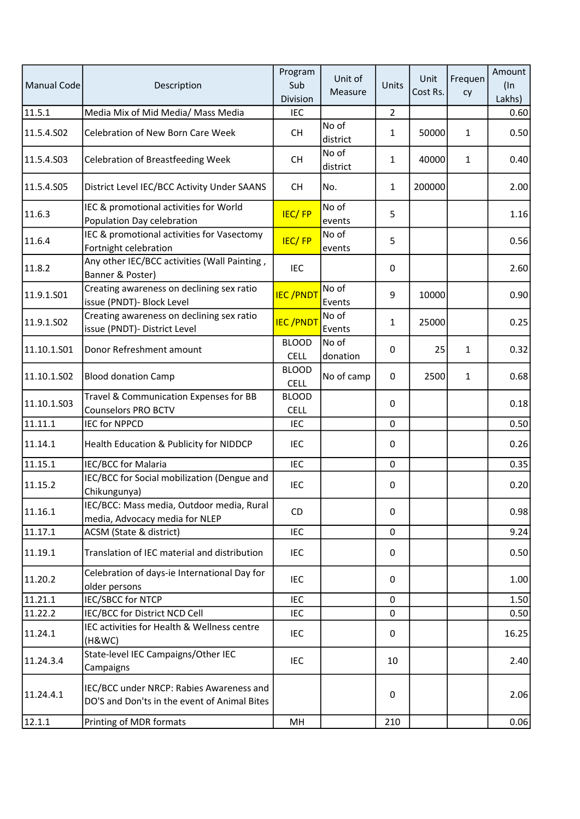| <b>Manual Code</b> | Description                                                                              | Program<br>Sub<br>Division  | Unit of<br>Measure | Units          | Unit<br>Cost Rs. | Frequen<br>cy | Amount<br>$(\ln$<br>Lakhs) |
|--------------------|------------------------------------------------------------------------------------------|-----------------------------|--------------------|----------------|------------------|---------------|----------------------------|
| 11.5.1             | Media Mix of Mid Media/ Mass Media                                                       | <b>IEC</b>                  |                    | $\overline{2}$ |                  |               | 0.60                       |
| 11.5.4.S02         | <b>Celebration of New Born Care Week</b>                                                 | <b>CH</b>                   | No of<br>district  | 1              | 50000            | $\mathbf 1$   | 0.50                       |
| 11.5.4.S03         | <b>Celebration of Breastfeeding Week</b>                                                 | <b>CH</b>                   | No of<br>district  | 1              | 40000            | 1             | 0.40                       |
| 11.5.4.S05         | District Level IEC/BCC Activity Under SAANS                                              | <b>CH</b>                   | No.                | 1              | 200000           |               | 2.00                       |
| 11.6.3             | IEC & promotional activities for World<br>Population Day celebration                     | <b>IEC/FP</b>               | No of<br>events    | 5              |                  |               | 1.16                       |
| 11.6.4             | IEC & promotional activities for Vasectomy<br>Fortnight celebration                      | <b>IEC/FP</b>               | No of<br>events    | 5              |                  |               | 0.56                       |
| 11.8.2             | Any other IEC/BCC activities (Wall Painting,<br>Banner & Poster)                         | <b>IEC</b>                  |                    | $\mathbf 0$    |                  |               | 2.60                       |
| 11.9.1.S01         | Creating awareness on declining sex ratio<br>issue (PNDT)- Block Level                   | <b>IEC/PNDT</b>             | No of<br>Events    | 9              | 10000            |               | 0.90                       |
| 11.9.1.S02         | Creating awareness on declining sex ratio<br>issue (PNDT)- District Level                | <b>IEC/PNDT</b>             | No of<br>Events    | 1              | 25000            |               | 0.25                       |
| 11.10.1.S01        | Donor Refreshment amount                                                                 | <b>BLOOD</b><br><b>CELL</b> | No of<br>donation  | 0              | 25               | 1             | 0.32                       |
| 11.10.1.S02        | <b>Blood donation Camp</b>                                                               | <b>BLOOD</b><br><b>CELL</b> | No of camp         | 0              | 2500             | $\mathbf{1}$  | 0.68                       |
| 11.10.1.S03        | Travel & Communication Expenses for BB<br><b>Counselors PRO BCTV</b>                     | <b>BLOOD</b><br><b>CELL</b> |                    | 0              |                  |               | 0.18                       |
| 11.11.1            | <b>IEC for NPPCD</b>                                                                     | <b>IEC</b>                  |                    | $\mathbf 0$    |                  |               | 0.50                       |
| 11.14.1            | Health Education & Publicity for NIDDCP                                                  | IEC                         |                    | 0              |                  |               | 0.26                       |
| 11.15.1            | IEC/BCC for Malaria                                                                      | <b>IEC</b>                  |                    | $\mathbf 0$    |                  |               | 0.35                       |
| 11.15.2            | IEC/BCC for Social mobilization (Dengue and<br>Chikungunya)                              | IEC                         |                    | 0              |                  |               | 0.20                       |
| 11.16.1            | IEC/BCC: Mass media, Outdoor media, Rural<br>media, Advocacy media for NLEP              | CD                          |                    | $\mathbf 0$    |                  |               | 0.98                       |
| 11.17.1            | ACSM (State & district)                                                                  | <b>IEC</b>                  |                    | 0              |                  |               | 9.24                       |
| 11.19.1            | Translation of IEC material and distribution                                             | IEC                         |                    | 0              |                  |               | 0.50                       |
| 11.20.2            | Celebration of days-ie International Day for<br>older persons                            | IEC                         |                    | 0              |                  |               | 1.00                       |
| 11.21.1            | IEC/SBCC for NTCP                                                                        | <b>IEC</b>                  |                    | $\mathbf 0$    |                  |               | 1.50                       |
| 11.22.2            | IEC/BCC for District NCD Cell                                                            | IEC                         |                    | 0              |                  |               | 0.50                       |
| 11.24.1            | IEC activities for Health & Wellness centre<br>(H&WC)                                    | IEC                         |                    | 0              |                  |               | 16.25                      |
| 11.24.3.4          | State-level IEC Campaigns/Other IEC<br>Campaigns                                         | IEC                         |                    | 10             |                  |               | 2.40                       |
| 11.24.4.1          | IEC/BCC under NRCP: Rabies Awareness and<br>DO'S and Don'ts in the event of Animal Bites |                             |                    | 0              |                  |               | 2.06                       |
| 12.1.1             | Printing of MDR formats                                                                  | MH                          |                    | 210            |                  |               | 0.06                       |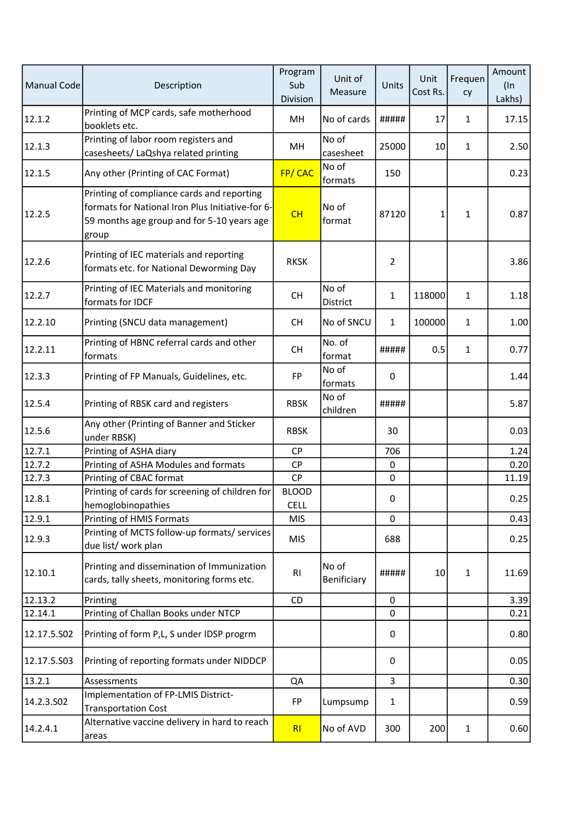| <b>Manual Code</b> | Description                                                                                                                                           | Program<br>Sub<br>Division  | Unit of<br>Measure   | Units          | Unit<br>Cost Rs. | Frequen<br>cy | Amount<br>$(\ln$<br>Lakhs) |
|--------------------|-------------------------------------------------------------------------------------------------------------------------------------------------------|-----------------------------|----------------------|----------------|------------------|---------------|----------------------------|
| 12.1.2             | Printing of MCP cards, safe motherhood<br>booklets etc.                                                                                               | MН                          | No of cards          | #####          | 17               | 1             | 17.15                      |
| 12.1.3             | Printing of labor room registers and<br>casesheets/ LaQshya related printing                                                                          | MН                          | No of<br>casesheet   | 25000          | 10               | 1             | 2.50                       |
| 12.1.5             | Any other (Printing of CAC Format)                                                                                                                    | FP/CAC                      | No of<br>formats     | 150            |                  |               | 0.23                       |
| 12.2.5             | Printing of compliance cards and reporting<br>formats for National Iron Plus Initiative-for 6-<br>59 months age group and for 5-10 years age<br>group | CH                          | No of<br>format      | 87120          | 1                | 1             | 0.87                       |
| 12.2.6             | Printing of IEC materials and reporting<br>formats etc. for National Deworming Day                                                                    | <b>RKSK</b>                 |                      | $\overline{2}$ |                  |               | 3.86                       |
| 12.2.7             | Printing of IEC Materials and monitoring<br>formats for IDCF                                                                                          | <b>CH</b>                   | No of<br>District    | 1              | 118000           | 1             | 1.18                       |
| 12.2.10            | Printing (SNCU data management)                                                                                                                       | <b>CH</b>                   | No of SNCU           | $\mathbf{1}$   | 100000           | 1             | 1.00                       |
| 12.2.11            | Printing of HBNC referral cards and other<br>formats                                                                                                  | <b>CH</b>                   | No. of<br>format     | #####          | 0.5              | 1             | 0.77                       |
| 12.3.3             | Printing of FP Manuals, Guidelines, etc.                                                                                                              | <b>FP</b>                   | No of<br>formats     | 0              |                  |               | 1.44                       |
| 12.5.4             | Printing of RBSK card and registers                                                                                                                   | <b>RBSK</b>                 | No of<br>children    | #####          |                  |               | 5.87                       |
| 12.5.6             | Any other (Printing of Banner and Sticker<br>under RBSK)                                                                                              | <b>RBSK</b>                 |                      | 30             |                  |               | 0.03                       |
| 12.7.1             | Printing of ASHA diary                                                                                                                                | <b>CP</b>                   |                      | 706            |                  |               | 1.24                       |
| 12.7.2             | Printing of ASHA Modules and formats                                                                                                                  | <b>CP</b>                   |                      | 0              |                  |               | 0.20                       |
| 12.7.3             | Printing of CBAC format                                                                                                                               | <b>CP</b>                   |                      | 0              |                  |               | 11.19                      |
| 12.8.1             | Printing of cards for screening of children for<br>hemoglobinopathies                                                                                 | <b>BLOOD</b><br><b>CELL</b> |                      | 0              |                  |               | 0.25                       |
| 12.9.1             | Printing of HMIS Formats                                                                                                                              | <b>MIS</b>                  |                      | 0              |                  |               | 0.43                       |
| 12.9.3             | Printing of MCTS follow-up formats/ services<br>due list/ work plan                                                                                   | <b>MIS</b>                  |                      | 688            |                  |               | 0.25                       |
| 12.10.1            | Printing and dissemination of Immunization<br>cards, tally sheets, monitoring forms etc.                                                              | R1                          | No of<br>Benificiary | #####          | 10               | $\mathbf{1}$  | 11.69                      |
| 12.13.2            | Printing                                                                                                                                              | CD                          |                      | $\mathbf 0$    |                  |               | 3.39                       |
| 12.14.1            | Printing of Challan Books under NTCP                                                                                                                  |                             |                      | 0              |                  |               | 0.21                       |
| 12.17.5.502        | Printing of form P,L, S under IDSP progrm                                                                                                             |                             |                      | 0              |                  |               | 0.80                       |
| 12.17.5.503        | Printing of reporting formats under NIDDCP                                                                                                            |                             |                      | 0              |                  |               | 0.05                       |
| 13.2.1             | Assessments                                                                                                                                           | QA                          |                      | 3              |                  |               | 0.30                       |
| 14.2.3.S02         | Implementation of FP-LMIS District-<br><b>Transportation Cost</b>                                                                                     | <b>FP</b>                   | Lumpsump             | 1              |                  |               | 0.59                       |
| 14.2.4.1           | Alternative vaccine delivery in hard to reach<br>areas                                                                                                | RI                          | No of AVD            | 300            | 200              | 1             | 0.60                       |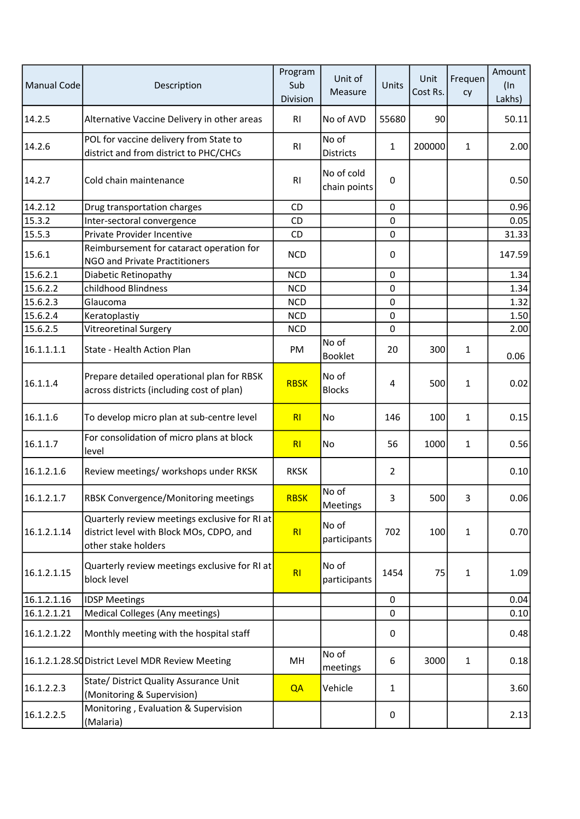| <b>Manual Code</b> | Description                                                                                                      | Program<br>Sub<br>Division | Unit of<br>Measure         | Units          | Unit<br>Cost Rs. | Frequen<br>cy | Amount<br>$($ In<br>Lakhs) |
|--------------------|------------------------------------------------------------------------------------------------------------------|----------------------------|----------------------------|----------------|------------------|---------------|----------------------------|
| 14.2.5             | Alternative Vaccine Delivery in other areas                                                                      | RI                         | No of AVD                  | 55680          | 90               |               | 50.11                      |
| 14.2.6             | POL for vaccine delivery from State to<br>district and from district to PHC/CHCs                                 | R1                         | No of<br><b>Districts</b>  | $\mathbf{1}$   | 200000           | 1             | 2.00                       |
| 14.2.7             | Cold chain maintenance                                                                                           | R1                         | No of cold<br>chain points | $\pmb{0}$      |                  |               | 0.50                       |
| 14.2.12            | Drug transportation charges                                                                                      | <b>CD</b>                  |                            | 0              |                  |               | 0.96                       |
| 15.3.2             | Inter-sectoral convergence                                                                                       | CD                         |                            | $\mathbf 0$    |                  |               | 0.05                       |
| 15.5.3             | Private Provider Incentive                                                                                       | CD                         |                            | $\pmb{0}$      |                  |               | 31.33                      |
| 15.6.1             | Reimbursement for cataract operation for<br><b>NGO and Private Practitioners</b>                                 | <b>NCD</b>                 |                            | $\mathbf 0$    |                  |               | 147.59                     |
| 15.6.2.1           | Diabetic Retinopathy                                                                                             | <b>NCD</b>                 |                            | $\pmb{0}$      |                  |               | 1.34                       |
| 15.6.2.2           | childhood Blindness                                                                                              | <b>NCD</b>                 |                            | $\mathbf 0$    |                  |               | 1.34                       |
| 15.6.2.3           | Glaucoma                                                                                                         | <b>NCD</b>                 |                            | $\mathbf 0$    |                  |               | 1.32                       |
| 15.6.2.4           | Keratoplastiy                                                                                                    | <b>NCD</b>                 |                            | $\pmb{0}$      |                  |               | 1.50                       |
| 15.6.2.5           | Vitreoretinal Surgery                                                                                            | <b>NCD</b>                 |                            | $\mathbf 0$    |                  |               | 2.00                       |
| 16.1.1.1.1         | State - Health Action Plan                                                                                       | PM                         | No of<br><b>Booklet</b>    | 20             | 300              | 1             | 0.06                       |
| 16.1.1.4           | Prepare detailed operational plan for RBSK<br>across districts (including cost of plan)                          | <b>RBSK</b>                | No of<br><b>Blocks</b>     | 4              | 500              | $\mathbf{1}$  | 0.02                       |
| 16.1.1.6           | To develop micro plan at sub-centre level                                                                        | RI                         | No                         | 146            | 100              | 1             | 0.15                       |
| 16.1.1.7           | For consolidation of micro plans at block<br>level                                                               | RI                         | No                         | 56             | 1000             | $\mathbf{1}$  | 0.56                       |
| 16.1.2.1.6         | Review meetings/ workshops under RKSK                                                                            | <b>RKSK</b>                |                            | $\overline{2}$ |                  |               | 0.10                       |
| 16.1.2.1.7         | <b>RBSK Convergence/Monitoring meetings</b>                                                                      | <b>RBSK</b>                | No of<br>Meetings          | 3              | 500              | 3             | 0.06                       |
| 16.1.2.1.14        | Quarterly review meetings exclusive for RI at<br>district level with Block MOs, CDPO, and<br>other stake holders | RI                         | No of<br>participants      | 702            | 100              | 1             | 0.70                       |
| 16.1.2.1.15        | Quarterly review meetings exclusive for RI at<br>block level                                                     | RI                         | No of<br>participants      | 1454           | 75               | 1             | 1.09                       |
| 16.1.2.1.16        | <b>IDSP Meetings</b>                                                                                             |                            |                            | $\pmb{0}$      |                  |               | 0.04                       |
| 16.1.2.1.21        | Medical Colleges (Any meetings)                                                                                  |                            |                            | 0              |                  |               | 0.10                       |
| 16.1.2.1.22        | Monthly meeting with the hospital staff                                                                          |                            |                            | 0              |                  |               | 0.48                       |
|                    | 16.1.2.1.28.SC District Level MDR Review Meeting                                                                 | MH                         | No of<br>meetings          | 6              | 3000             | $\mathbf{1}$  | 0.18                       |
| 16.1.2.2.3         | State/ District Quality Assurance Unit<br>(Monitoring & Supervision)                                             | QA                         | Vehicle                    | $\mathbf{1}$   |                  |               | 3.60                       |
| 16.1.2.2.5         | Monitoring, Evaluation & Supervision<br>(Malaria)                                                                |                            |                            | 0              |                  |               | 2.13                       |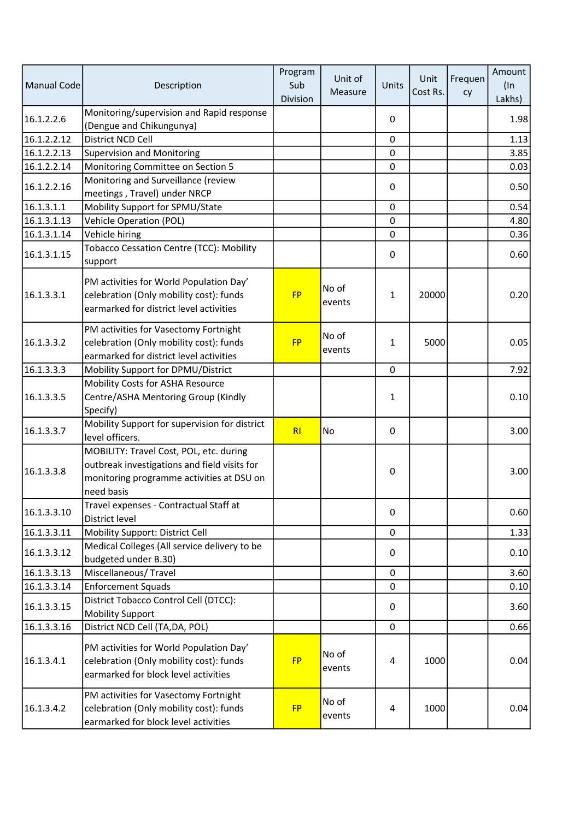| <b>Manual Code</b> | Description                                                                                                                                        | Program<br>Sub<br>Division | Unit of<br>Measure | Units       | Unit<br>Cost Rs. | Frequen<br>cy | Amount<br>$($ In<br>Lakhs) |
|--------------------|----------------------------------------------------------------------------------------------------------------------------------------------------|----------------------------|--------------------|-------------|------------------|---------------|----------------------------|
| 16.1.2.2.6         | Monitoring/supervision and Rapid response<br>(Dengue and Chikungunya)                                                                              |                            |                    | 0           |                  |               | 1.98                       |
| 16.1.2.2.12        | District NCD Cell                                                                                                                                  |                            |                    | $\mathbf 0$ |                  |               | 1.13                       |
| 16.1.2.2.13        | <b>Supervision and Monitoring</b>                                                                                                                  |                            |                    | $\mathbf 0$ |                  |               | 3.85                       |
| 16.1.2.2.14        | Monitoring Committee on Section 5                                                                                                                  |                            |                    | $\mathbf 0$ |                  |               | 0.03                       |
| 16.1.2.2.16        | Monitoring and Surveillance (review<br>meetings, Travel) under NRCP                                                                                |                            |                    | 0           |                  |               | 0.50                       |
| 16.1.3.1.1         | Mobility Support for SPMU/State                                                                                                                    |                            |                    | $\mathbf 0$ |                  |               | 0.54                       |
| 16.1.3.1.13        | <b>Vehicle Operation (POL)</b>                                                                                                                     |                            |                    | $\mathbf 0$ |                  |               | 4.80                       |
| 16.1.3.1.14        | Vehicle hiring                                                                                                                                     |                            |                    | $\pmb{0}$   |                  |               | 0.36                       |
| 16.1.3.1.15        | <b>Tobacco Cessation Centre (TCC): Mobility</b><br>support                                                                                         |                            |                    | $\mathbf 0$ |                  |               | 0.60                       |
| 16.1.3.3.1         | PM activities for World Population Day'<br>celebration (Only mobility cost): funds<br>earmarked for district level activities                      | <b>FP</b>                  | No of<br>events    | 1           | 20000            |               | 0.20                       |
| 16.1.3.3.2         | PM activities for Vasectomy Fortnight<br>celebration (Only mobility cost): funds<br>earmarked for district level activities                        | <b>FP</b>                  | No of<br>events    | 1           | 5000             |               | 0.05                       |
| 16.1.3.3.3         | Mobility Support for DPMU/District                                                                                                                 |                            |                    | $\mathbf 0$ |                  |               | 7.92                       |
| 16.1.3.3.5         | Mobility Costs for ASHA Resource<br>Centre/ASHA Mentoring Group (Kindly<br>Specify)                                                                |                            |                    | 1           |                  |               | 0.10                       |
| 16.1.3.3.7         | Mobility Support for supervision for district<br>level officers.                                                                                   | R <sub>l</sub>             | No                 | 0           |                  |               | 3.00                       |
| 16.1.3.3.8         | MOBILITY: Travel Cost, POL, etc. during<br>outbreak investigations and field visits for<br>monitoring programme activities at DSU on<br>need basis |                            |                    | $\pmb{0}$   |                  |               | 3.00                       |
| 16.1.3.3.10        | Travel expenses - Contractual Staff at<br>District level                                                                                           |                            |                    | $\mathbf 0$ |                  |               | 0.60                       |
| 16.1.3.3.11        | Mobility Support: District Cell                                                                                                                    |                            |                    | $\pmb{0}$   |                  |               | 1.33                       |
| 16.1.3.3.12        | Medical Colleges (All service delivery to be<br>budgeted under B.30)                                                                               |                            |                    | 0           |                  |               | 0.10                       |
| 16.1.3.3.13        | Miscellaneous/Travel                                                                                                                               |                            |                    | 0           |                  |               | 3.60                       |
| 16.1.3.3.14        | <b>Enforcement Squads</b>                                                                                                                          |                            |                    | $\mathbf 0$ |                  |               | 0.10                       |
| 16.1.3.3.15        | District Tobacco Control Cell (DTCC):<br><b>Mobility Support</b>                                                                                   |                            |                    | 0           |                  |               | 3.60                       |
| 16.1.3.3.16        | District NCD Cell (TA, DA, POL)                                                                                                                    |                            |                    | $\pmb{0}$   |                  |               | 0.66                       |
| 16.1.3.4.1         | PM activities for World Population Day'<br>celebration (Only mobility cost): funds<br>earmarked for block level activities                         | <b>FP</b>                  | No of<br>events    | 4           | 1000             |               | 0.04                       |
| 16.1.3.4.2         | PM activities for Vasectomy Fortnight<br>celebration (Only mobility cost): funds<br>earmarked for block level activities                           | <b>FP</b>                  | No of<br>events    | 4           | 1000             |               | 0.04                       |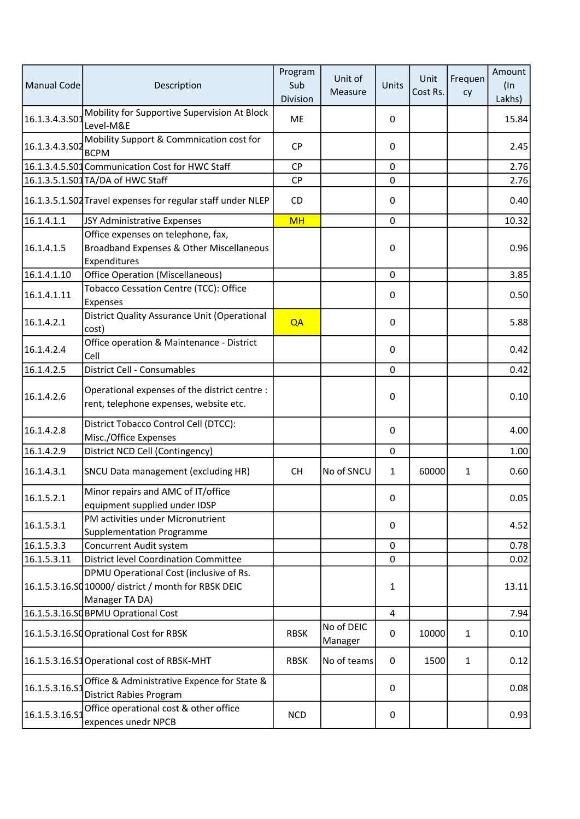| Manual Code    | Description                                                                                                       | Program<br>Sub<br>Division | Unit of<br>Measure    | Units        | Unit<br>Cost Rs. | Frequen<br>cy | Amount<br>$($ In<br>Lakhs) |
|----------------|-------------------------------------------------------------------------------------------------------------------|----------------------------|-----------------------|--------------|------------------|---------------|----------------------------|
| 16.1.3.4.3.501 | Mobility for Supportive Supervision At Block<br>Level-M&E                                                         | ME                         |                       | 0            |                  |               | 15.84                      |
| 16.1.3.4.3.S02 | Mobility Support & Commnication cost for<br><b>BCPM</b>                                                           | <b>CP</b>                  |                       | 0            |                  |               | 2.45                       |
|                | 16.1.3.4.5.S01 Communication Cost for HWC Staff                                                                   | <b>CP</b>                  |                       | 0            |                  |               | 2.76                       |
|                | 16.1.3.5.1.S01 TA/DA of HWC Staff                                                                                 | <b>CP</b>                  |                       | 0            |                  |               | 2.76                       |
|                | 16.1.3.5.1.S02 Travel expenses for regular staff under NLEP                                                       | CD                         |                       | 0            |                  |               | 0.40                       |
| 16.1.4.1.1     | JSY Administrative Expenses                                                                                       | <b>MH</b>                  |                       | $\pmb{0}$    |                  |               | 10.32                      |
| 16.1.4.1.5     | Office expenses on telephone, fax,<br>Broadband Expenses & Other Miscellaneous<br>Expenditures                    |                            |                       | $\pmb{0}$    |                  |               | 0.96                       |
| 16.1.4.1.10    | <b>Office Operation (Miscellaneous)</b>                                                                           |                            |                       | 0            |                  |               | 3.85                       |
| 16.1.4.1.11    | Tobacco Cessation Centre (TCC): Office<br>Expenses                                                                |                            |                       | $\mathbf 0$  |                  |               | 0.50                       |
| 16.1.4.2.1     | District Quality Assurance Unit (Operational<br>cost)                                                             | QA                         |                       | 0            |                  |               | 5.88                       |
| 16.1.4.2.4     | Office operation & Maintenance - District<br>Cell                                                                 |                            |                       | 0            |                  |               | 0.42                       |
| 16.1.4.2.5     | <b>District Cell - Consumables</b>                                                                                |                            |                       | $\pmb{0}$    |                  |               | 0.42                       |
| 16.1.4.2.6     | Operational expenses of the district centre :<br>rent, telephone expenses, website etc.                           |                            |                       | 0            |                  |               | 0.10                       |
| 16.1.4.2.8     | District Tobacco Control Cell (DTCC):<br>Misc./Office Expenses                                                    |                            |                       | 0            |                  |               | 4.00                       |
| 16.1.4.2.9     | District NCD Cell (Contingency)                                                                                   |                            |                       | 0            |                  |               | 1.00                       |
| 16.1.4.3.1     | SNCU Data management (excluding HR)                                                                               | <b>CH</b>                  | No of SNCU            | $\mathbf{1}$ | 60000            | $\mathbf{1}$  | 0.60                       |
| 16.1.5.2.1     | Minor repairs and AMC of IT/office<br>equipment supplied under IDSP                                               |                            |                       | 0            |                  |               | 0.05                       |
| 16.1.5.3.1     | PM activities under Micronutrient<br><b>Supplementation Programme</b>                                             |                            |                       | 0            |                  |               | 4.52                       |
| 16.1.5.3.3     | Concurrent Audit system                                                                                           |                            |                       | $\pmb{0}$    |                  |               | 0.78                       |
| 16.1.5.3.11    | <b>District level Coordination Committee</b>                                                                      |                            |                       | $\mathbf 0$  |                  |               | 0.02                       |
|                | DPMU Operational Cost (inclusive of Rs.<br>16.1.5.3.16.SQ 10000/ district / month for RBSK DEIC<br>Manager TA DA) |                            |                       | 1            |                  |               | 13.11                      |
|                | 16.1.5.3.16.SQBPMU Oprational Cost                                                                                |                            |                       | 4            |                  |               | 7.94                       |
|                | 16.1.5.3.16.SCOprational Cost for RBSK                                                                            | <b>RBSK</b>                | No of DEIC<br>Manager | 0            | 10000            | $\mathbf{1}$  | 0.10                       |
|                | 16.1.5.3.16.S1 Operational cost of RBSK-MHT                                                                       | <b>RBSK</b>                | No of teams           | 0            | 1500             | $\mathbf{1}$  | 0.12                       |
| 16.1.5.3.16.S1 | Office & Administrative Expence for State &<br><b>District Rabies Program</b>                                     |                            |                       | 0            |                  |               | 0.08                       |
| 16.1.5.3.16.51 | Office operational cost & other office<br>expences unedr NPCB                                                     | <b>NCD</b>                 |                       | 0            |                  |               | 0.93                       |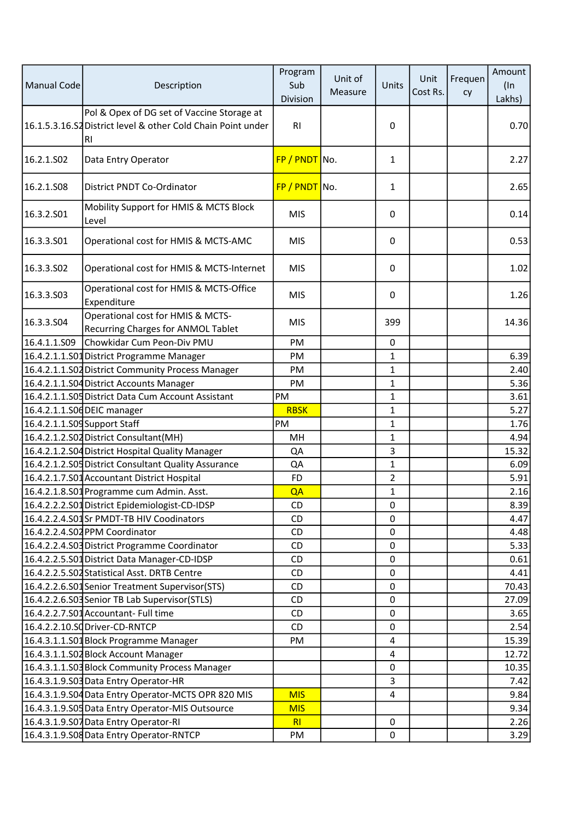| Manual Code                  | Description                                                                                                      | Program<br>Sub<br>Division | Unit of<br>Measure | Units       | Unit<br>Cost Rs. | Frequen<br>cy | Amount<br>$($ ln<br>Lakhs) |
|------------------------------|------------------------------------------------------------------------------------------------------------------|----------------------------|--------------------|-------------|------------------|---------------|----------------------------|
|                              | Pol & Opex of DG set of Vaccine Storage at<br>16.1.5.3.16.S2 District level & other Cold Chain Point under<br>RI | R <sub>l</sub>             |                    | 0           |                  |               | 0.70                       |
| 16.2.1.S02                   | Data Entry Operator                                                                                              | FP / PNDT No.              |                    | 1           |                  |               | 2.27                       |
| 16.2.1.S08                   | District PNDT Co-Ordinator                                                                                       | $FP / PNDT$ No.            |                    | 1           |                  |               | 2.65                       |
| 16.3.2.S01                   | Mobility Support for HMIS & MCTS Block<br>Level                                                                  | <b>MIS</b>                 |                    | $\Omega$    |                  |               | 0.14                       |
| 16.3.3.S01                   | Operational cost for HMIS & MCTS-AMC                                                                             | <b>MIS</b>                 |                    | 0           |                  |               | 0.53                       |
| 16.3.3.502                   | Operational cost for HMIS & MCTS-Internet                                                                        | <b>MIS</b>                 |                    | 0           |                  |               | 1.02                       |
| 16.3.3.503                   | Operational cost for HMIS & MCTS-Office<br>Expenditure                                                           | <b>MIS</b>                 |                    | 0           |                  |               | 1.26                       |
| 16.3.3.S04                   | Operational cost for HMIS & MCTS-<br>Recurring Charges for ANMOL Tablet                                          | <b>MIS</b>                 |                    | 399         |                  |               | 14.36                      |
| 16.4.1.1.509                 | Chowkidar Cum Peon-Div PMU                                                                                       | PM                         |                    | 0           |                  |               |                            |
|                              | 16.4.2.1.1.S01 District Programme Manager                                                                        | PM                         |                    | 1           |                  |               | 6.39                       |
|                              | 16.4.2.1.1.S02 District Community Process Manager                                                                | PM                         |                    | 1           |                  |               | 2.40                       |
|                              | 16.4.2.1.1.S04 District Accounts Manager                                                                         | <b>PM</b>                  |                    | 1           |                  |               | 5.36                       |
|                              | 16.4.2.1.1.S05 District Data Cum Account Assistant                                                               | PM                         |                    | 1           |                  |               | 3.61                       |
|                              | 16.4.2.1.1.S06 DEIC manager                                                                                      | <b>RBSK</b>                |                    | 1           |                  |               | 5.27                       |
| 16.4.2.1.1.S09 Support Staff |                                                                                                                  | PM                         |                    | 1           |                  |               | 1.76                       |
|                              | 16.4.2.1.2.S02 District Consultant(MH)                                                                           | MH                         |                    | 1           |                  |               | 4.94                       |
|                              | 16.4.2.1.2.S04 District Hospital Quality Manager                                                                 | QA                         |                    | 3           |                  |               | 15.32                      |
|                              | 16.4.2.1.2.S05 District Consultant Quality Assurance                                                             | QA                         |                    | 1           |                  |               | 6.09                       |
|                              | 16.4.2.1.7.S01 Accountant District Hospital                                                                      | <b>FD</b>                  |                    | 2           |                  |               | 5.91                       |
|                              | 16.4.2.1.8.S01 Programme cum Admin. Asst.                                                                        | QA                         |                    | 1           |                  |               | 2.16                       |
|                              | 16.4.2.2.2.S01 District Epidemiologist-CD-IDSP                                                                   | CD                         |                    | 0           |                  |               | 8.39                       |
|                              | 16.4.2.2.4.S01Sr PMDT-TB HIV Coodinators                                                                         | CD                         |                    | 0           |                  |               | 4.47                       |
|                              | 16.4.2.2.4.S02 PPM Coordinator                                                                                   | CD                         |                    | 0           |                  |               | 4.48                       |
|                              | 16.4.2.2.4.S03 District Programme Coordinator                                                                    | CD                         |                    | 0           |                  |               | 5.33                       |
|                              | 16.4.2.2.5.S01 District Data Manager-CD-IDSP                                                                     | CD                         |                    | $\mathbf 0$ |                  |               | 0.61                       |
|                              | 16.4.2.2.5.S02 Statistical Asst. DRTB Centre                                                                     | <b>CD</b>                  |                    | 0           |                  |               | 4.41                       |
|                              | 16.4.2.2.6.S01Senior Treatment Supervisor(STS)                                                                   | CD                         |                    | 0           |                  |               | 70.43                      |
|                              | 16.4.2.2.6.S03 Senior TB Lab Supervisor(STLS)                                                                    | <b>CD</b>                  |                    | $\mathbf 0$ |                  |               | 27.09                      |
|                              | 16.4.2.2.7.S01 Accountant- Full time                                                                             | CD                         |                    | 0           |                  |               | 3.65                       |
|                              | 16.4.2.2.10.SC Driver-CD-RNTCP                                                                                   | CD                         |                    | 0           |                  |               | 2.54                       |
|                              | 16.4.3.1.1.S01 Block Programme Manager                                                                           | PM                         |                    | 4           |                  |               | 15.39                      |
|                              | 16.4.3.1.1.S02 Block Account Manager                                                                             |                            |                    | 4           |                  |               | 12.72                      |
|                              | 16.4.3.1.1.S03 Block Community Process Manager                                                                   |                            |                    | 0           |                  |               | 10.35                      |
|                              | 16.4.3.1.9.S03 Data Entry Operator-HR                                                                            |                            |                    | 3           |                  |               | 7.42                       |
|                              | 16.4.3.1.9.S04 Data Entry Operator-MCTS OPR 820 MIS                                                              | <b>MIS</b>                 |                    | 4           |                  |               | 9.84                       |
|                              | 16.4.3.1.9.S05 Data Entry Operator-MIS Outsource                                                                 | <b>MIS</b>                 |                    |             |                  |               | 9.34                       |
|                              | 16.4.3.1.9.S07 Data Entry Operator-RI                                                                            | R <sub>l</sub>             |                    | 0           |                  |               | 2.26                       |
|                              | 16.4.3.1.9.S08 Data Entry Operator-RNTCP                                                                         | PM                         |                    | 0           |                  |               | 3.29                       |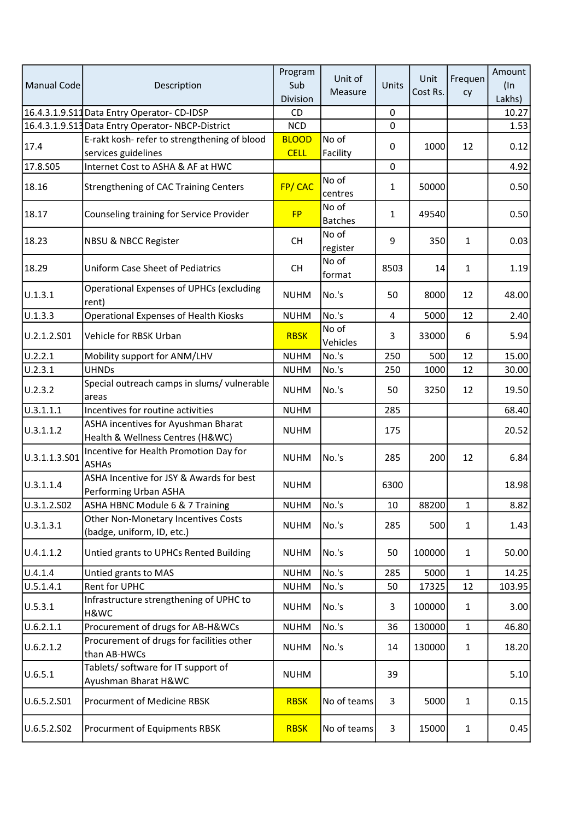| Manual Code   | Description                                                             | Program<br>Sub<br>Division  | Unit of<br>Measure      | Units        | Unit<br>Cost Rs. | Frequen<br>cy | Amount<br>$($ In<br>Lakhs) |
|---------------|-------------------------------------------------------------------------|-----------------------------|-------------------------|--------------|------------------|---------------|----------------------------|
|               | 16.4.3.1.9.S11 Data Entry Operator-CD-IDSP                              | CD                          |                         | $\pmb{0}$    |                  |               | 10.27                      |
|               | 16.4.3.1.9.S13 Data Entry Operator-NBCP-District                        | <b>NCD</b>                  |                         | $\mathbf 0$  |                  |               | 1.53                       |
| 17.4          | E-rakt kosh- refer to strengthening of blood<br>services guidelines     | <b>BLOOD</b><br><b>CELL</b> | No of<br>Facility       | 0            | 1000             | 12            | 0.12                       |
| 17.8.S05      | Internet Cost to ASHA & AF at HWC                                       |                             |                         | $\mathbf 0$  |                  |               | 4.92                       |
| 18.16         | <b>Strengthening of CAC Training Centers</b>                            | FP/CAC                      | No of<br>centres        | 1            | 50000            |               | 0.50                       |
| 18.17         | Counseling training for Service Provider                                | <b>FP</b>                   | No of<br><b>Batches</b> | $\mathbf{1}$ | 49540            |               | 0.50                       |
| 18.23         | <b>NBSU &amp; NBCC Register</b>                                         | <b>CH</b>                   | No of<br>register       | 9            | 350              | 1             | 0.03                       |
| 18.29         | Uniform Case Sheet of Pediatrics                                        | <b>CH</b>                   | No of<br>format         | 8503         | 14               | 1             | 1.19                       |
| U.1.3.1       | <b>Operational Expenses of UPHCs (excluding</b><br>rent)                | <b>NUHM</b>                 | No.'s                   | 50           | 8000             | 12            | 48.00                      |
| U.1.3.3       | <b>Operational Expenses of Health Kiosks</b>                            | <b>NUHM</b>                 | No.'s                   | 4            | 5000             | 12            | 2.40                       |
| U.2.1.2.S01   | Vehicle for RBSK Urban                                                  | <b>RBSK</b>                 | No of<br>Vehicles       | 3            | 33000            | 6             | 5.94                       |
| U.2.2.1       | Mobility support for ANM/LHV                                            | <b>NUHM</b>                 | No.'s                   | 250          | 500              | 12            | 15.00                      |
| U.2.3.1       | <b>UHNDs</b>                                                            | <b>NUHM</b>                 | No.'s                   | 250          | 1000             | 12            | 30.00                      |
| U.2.3.2       | Special outreach camps in slums/ vulnerable<br>areas                    | <b>NUHM</b>                 | No.'s                   | 50           | 3250             | 12            | 19.50                      |
| 0.3.1.1.1     | Incentives for routine activities                                       | <b>NUHM</b>                 |                         | 285          |                  |               | 68.40                      |
| U.3.1.1.2     | ASHA incentives for Ayushman Bharat<br>Health & Wellness Centres (H&WC) | <b>NUHM</b>                 |                         | 175          |                  |               | 20.52                      |
| U.3.1.1.3.S01 | Incentive for Health Promotion Day for<br><b>ASHAs</b>                  | <b>NUHM</b>                 | No.'s                   | 285          | 200              | 12            | 6.84                       |
| U.3.1.1.4     | ASHA Incentive for JSY & Awards for best<br>Performing Urban ASHA       | <b>NUHM</b>                 |                         | 6300         |                  |               | 18.98                      |
| U.3.1.2.S02   | ASHA HBNC Module 6 & 7 Training                                         | <b>NUHM</b>                 | No.'s                   | 10           | 88200            | $\mathbf{1}$  | 8.82                       |
| U.3.1.3.1     | Other Non-Monetary Incentives Costs<br>(badge, uniform, ID, etc.)       | <b>NUHM</b>                 | No.'s                   | 285          | 500              | $\mathbf{1}$  | 1.43                       |
| U.4.1.1.2     | Untied grants to UPHCs Rented Building                                  | <b>NUHM</b>                 | No.'s                   | 50           | 100000           | $\mathbf{1}$  | 50.00                      |
| U.4.1.4       | Untied grants to MAS                                                    | <b>NUHM</b>                 | No.'s                   | 285          | 5000             | $\mathbf 1$   | 14.25                      |
| U.5.1.4.1     | <b>Rent for UPHC</b>                                                    | <b>NUHM</b>                 | No.'s                   | 50           | 17325            | 12            | 103.95                     |
| U.5.3.1       | Infrastructure strengthening of UPHC to<br>H&WC                         | <b>NUHM</b>                 | No.'s                   | 3            | 100000           | 1             | 3.00                       |
| U.6.2.1.1     | Procurement of drugs for AB-H&WCs                                       | <b>NUHM</b>                 | No.'s                   | 36           | 130000           | $\mathbf{1}$  | 46.80                      |
| U.6.2.1.2     | Procurement of drugs for facilities other<br>than AB-HWCs               | <b>NUHM</b>                 | No.'s                   | 14           | 130000           | $\mathbf{1}$  | 18.20                      |
| U.6.5.1       | Tablets/ software for IT support of<br>Ayushman Bharat H&WC             | <b>NUHM</b>                 |                         | 39           |                  |               | 5.10                       |
| U.6.5.2.S01   | <b>Procurment of Medicine RBSK</b>                                      | <b>RBSK</b>                 | No of teams             | 3            | 5000             | 1             | 0.15                       |
| U.6.5.2.S02   | Procurment of Equipments RBSK                                           | <b>RBSK</b>                 | No of teams             | 3            | 15000            | 1             | 0.45                       |